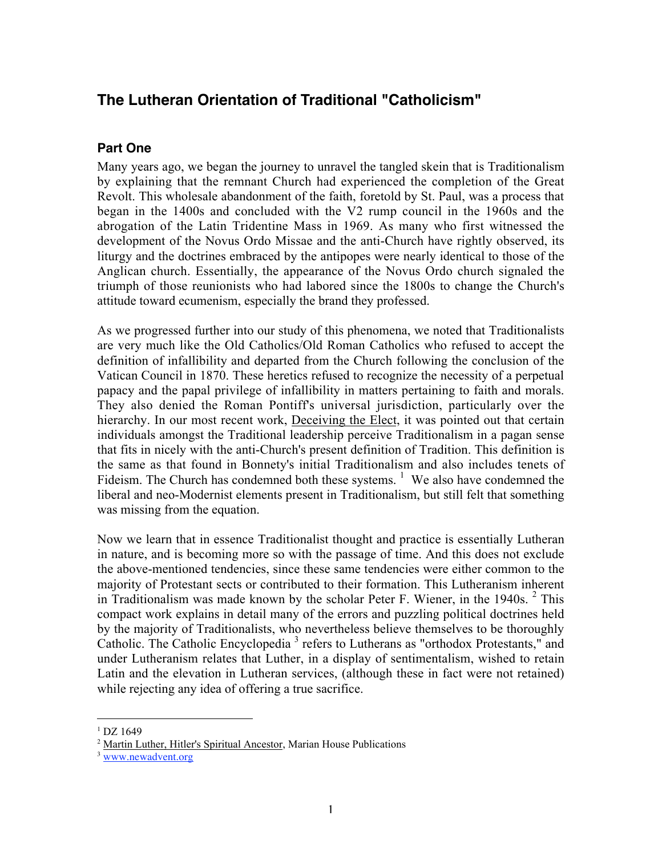# **The Lutheran Orientation of Traditional "Catholicism"**

### **Part One**

Many years ago, we began the journey to unravel the tangled skein that is Traditionalism by explaining that the remnant Church had experienced the completion of the Great Revolt. This wholesale abandonment of the faith, foretold by St. Paul, was a process that began in the 1400s and concluded with the V2 rump council in the 1960s and the abrogation of the Latin Tridentine Mass in 1969. As many who first witnessed the development of the Novus Ordo Missae and the anti-Church have rightly observed, its liturgy and the doctrines embraced by the antipopes were nearly identical to those of the Anglican church. Essentially, the appearance of the Novus Ordo church signaled the triumph of those reunionists who had labored since the 1800s to change the Church's attitude toward ecumenism, especially the brand they professed.

As we progressed further into our study of this phenomena, we noted that Traditionalists are very much like the Old Catholics/Old Roman Catholics who refused to accept the definition of infallibility and departed from the Church following the conclusion of the Vatican Council in 1870. These heretics refused to recognize the necessity of a perpetual papacy and the papal privilege of infallibility in matters pertaining to faith and morals. They also denied the Roman Pontiff's universal jurisdiction, particularly over the hierarchy. In our most recent work, Deceiving the Elect, it was pointed out that certain individuals amongst the Traditional leadership perceive Traditionalism in a pagan sense that fits in nicely with the anti-Church's present definition of Tradition. This definition is the same as that found in Bonnety's initial Traditionalism and also includes tenets of Fideism. The Church has condemned both these systems.  $<sup>1</sup>$  We also have condemned the</sup> liberal and neo-Modernist elements present in Traditionalism, but still felt that something was missing from the equation.

Now we learn that in essence Traditionalist thought and practice is essentially Lutheran in nature, and is becoming more so with the passage of time. And this does not exclude the above-mentioned tendencies, since these same tendencies were either common to the majority of Protestant sects or contributed to their formation. This Lutheranism inherent in Traditionalism was made known by the scholar Peter F. Wiener, in the 1940s.  $2$  This compact work explains in detail many of the errors and puzzling political doctrines held by the majority of Traditionalists, who nevertheless believe themselves to be thoroughly Catholic. The Catholic Encyclopedia<sup>3</sup> refers to Lutherans as "orthodox Protestants," and under Lutheranism relates that Luther, in a display of sentimentalism, wished to retain Latin and the elevation in Lutheran services, (although these in fact were not retained) while rejecting any idea of offering a true sacrifice.

 $\overline{a}$ 

 $1\overline{D}Z$  1649

<sup>&</sup>lt;sup>2</sup> Martin Luther, Hitler's Spiritual Ancestor, Marian House Publications

<sup>&</sup>lt;sup>3</sup> www.newadvent.org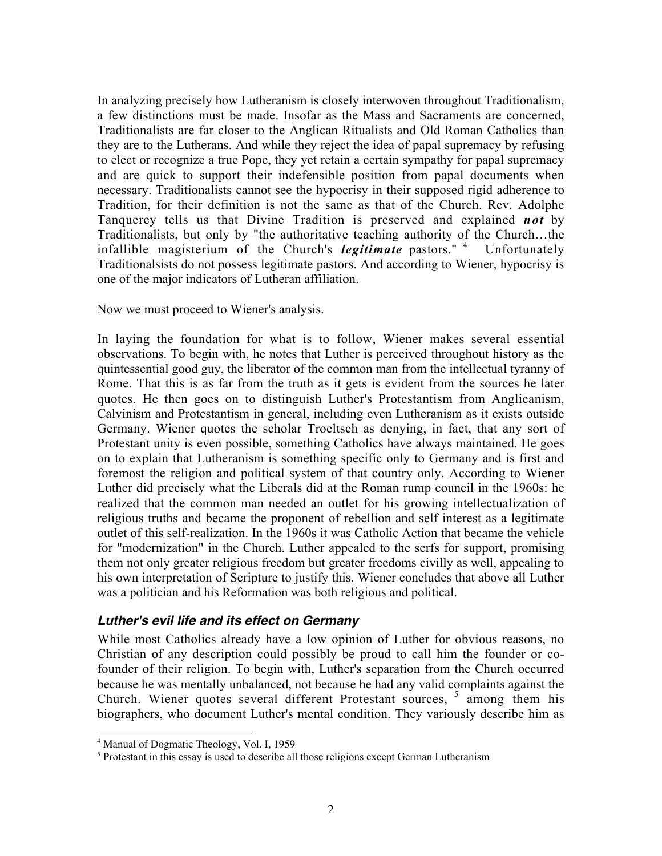In analyzing precisely how Lutheranism is closely interwoven throughout Traditionalism, a few distinctions must be made. Insofar as the Mass and Sacraments are concerned, Traditionalists are far closer to the Anglican Ritualists and Old Roman Catholics than they are to the Lutherans. And while they reject the idea of papal supremacy by refusing to elect or recognize a true Pope, they yet retain a certain sympathy for papal supremacy and are quick to support their indefensible position from papal documents when necessary. Traditionalists cannot see the hypocrisy in their supposed rigid adherence to Tradition, for their definition is not the same as that of the Church. Rev. Adolphe Tanquerey tells us that Divine Tradition is preserved and explained *not* by Traditionalists, but only by "the authoritative teaching authority of the Church…the infallible magisterium of the Church's *legitimate* pastors." <sup>4</sup> Unfortunately Traditionalsists do not possess legitimate pastors. And according to Wiener, hypocrisy is one of the major indicators of Lutheran affiliation.

Now we must proceed to Wiener's analysis.

In laying the foundation for what is to follow, Wiener makes several essential observations. To begin with, he notes that Luther is perceived throughout history as the quintessential good guy, the liberator of the common man from the intellectual tyranny of Rome. That this is as far from the truth as it gets is evident from the sources he later quotes. He then goes on to distinguish Luther's Protestantism from Anglicanism, Calvinism and Protestantism in general, including even Lutheranism as it exists outside Germany. Wiener quotes the scholar Troeltsch as denying, in fact, that any sort of Protestant unity is even possible, something Catholics have always maintained. He goes on to explain that Lutheranism is something specific only to Germany and is first and foremost the religion and political system of that country only. According to Wiener Luther did precisely what the Liberals did at the Roman rump council in the 1960s: he realized that the common man needed an outlet for his growing intellectualization of religious truths and became the proponent of rebellion and self interest as a legitimate outlet of this self-realization. In the 1960s it was Catholic Action that became the vehicle for "modernization" in the Church. Luther appealed to the serfs for support, promising them not only greater religious freedom but greater freedoms civilly as well, appealing to his own interpretation of Scripture to justify this. Wiener concludes that above all Luther was a politician and his Reformation was both religious and political.

### **Luther's evil life and its effect on Germany**

While most Catholics already have a low opinion of Luther for obvious reasons, no Christian of any description could possibly be proud to call him the founder or cofounder of their religion. To begin with, Luther's separation from the Church occurred because he was mentally unbalanced, not because he had any valid complaints against the Church. Wiener quotes several different Protestant sources, <sup>5</sup> among them his biographers, who document Luther's mental condition. They variously describe him as

 4 Manual of Dogmatic Theology, Vol. I, 1959

 $<sup>5</sup>$  Protestant in this essay is used to describe all those religions except German Lutheranism</sup>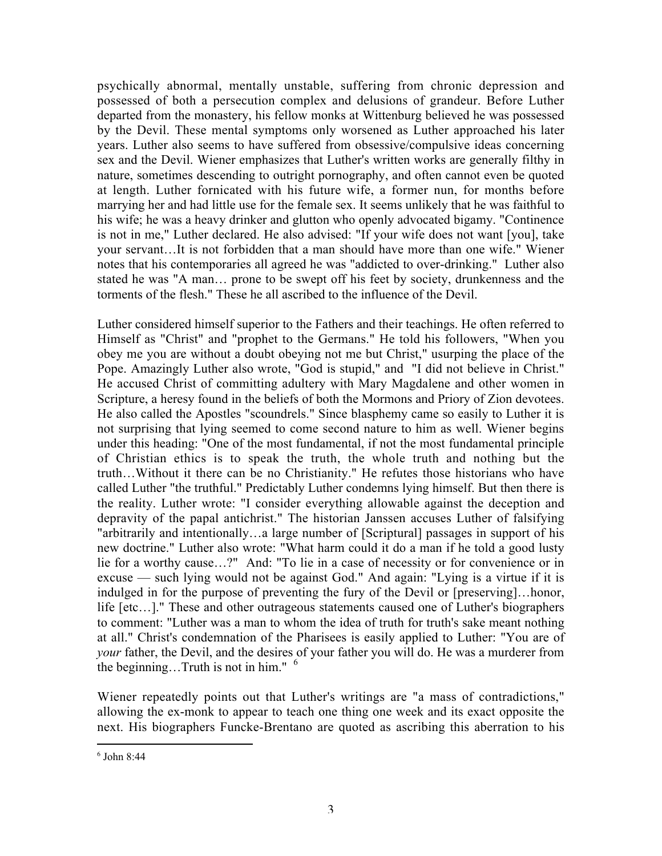psychically abnormal, mentally unstable, suffering from chronic depression and possessed of both a persecution complex and delusions of grandeur. Before Luther departed from the monastery, his fellow monks at Wittenburg believed he was possessed by the Devil. These mental symptoms only worsened as Luther approached his later years. Luther also seems to have suffered from obsessive/compulsive ideas concerning sex and the Devil. Wiener emphasizes that Luther's written works are generally filthy in nature, sometimes descending to outright pornography, and often cannot even be quoted at length. Luther fornicated with his future wife, a former nun, for months before marrying her and had little use for the female sex. It seems unlikely that he was faithful to his wife; he was a heavy drinker and glutton who openly advocated bigamy. "Continence is not in me," Luther declared. He also advised: "If your wife does not want [you], take your servant…It is not forbidden that a man should have more than one wife." Wiener notes that his contemporaries all agreed he was "addicted to over-drinking." Luther also stated he was "A man… prone to be swept off his feet by society, drunkenness and the torments of the flesh." These he all ascribed to the influence of the Devil.

Luther considered himself superior to the Fathers and their teachings. He often referred to Himself as "Christ" and "prophet to the Germans." He told his followers, "When you obey me you are without a doubt obeying not me but Christ," usurping the place of the Pope. Amazingly Luther also wrote, "God is stupid," and "I did not believe in Christ." He accused Christ of committing adultery with Mary Magdalene and other women in Scripture, a heresy found in the beliefs of both the Mormons and Priory of Zion devotees. He also called the Apostles "scoundrels." Since blasphemy came so easily to Luther it is not surprising that lying seemed to come second nature to him as well. Wiener begins under this heading: "One of the most fundamental, if not the most fundamental principle of Christian ethics is to speak the truth, the whole truth and nothing but the truth…Without it there can be no Christianity." He refutes those historians who have called Luther "the truthful." Predictably Luther condemns lying himself. But then there is the reality. Luther wrote: "I consider everything allowable against the deception and depravity of the papal antichrist." The historian Janssen accuses Luther of falsifying "arbitrarily and intentionally…a large number of [Scriptural] passages in support of his new doctrine." Luther also wrote: "What harm could it do a man if he told a good lusty lie for a worthy cause…?" And: "To lie in a case of necessity or for convenience or in excuse — such lying would not be against God." And again: "Lying is a virtue if it is indulged in for the purpose of preventing the fury of the Devil or [preserving]…honor, life [etc…]." These and other outrageous statements caused one of Luther's biographers to comment: "Luther was a man to whom the idea of truth for truth's sake meant nothing at all." Christ's condemnation of the Pharisees is easily applied to Luther: "You are of *your* father, the Devil, and the desires of your father you will do. He was a murderer from the beginning. Truth is not in him."  $\frac{6}{1}$ 

Wiener repeatedly points out that Luther's writings are "a mass of contradictions," allowing the ex-monk to appear to teach one thing one week and its exact opposite the next. His biographers Funcke-Brentano are quoted as ascribing this aberration to his

 $\overline{a}$  $6$  John 8:44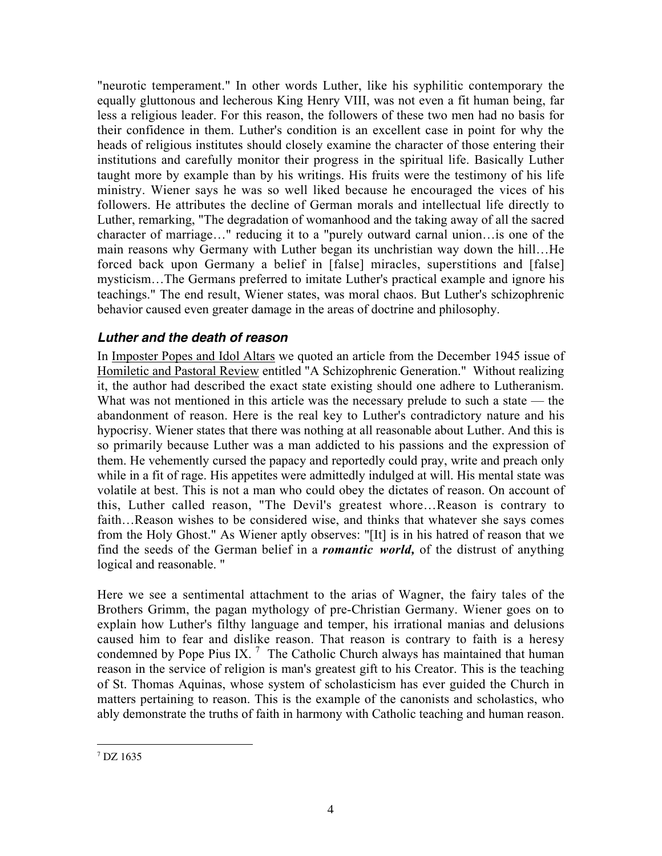"neurotic temperament." In other words Luther, like his syphilitic contemporary the equally gluttonous and lecherous King Henry VIII, was not even a fit human being, far less a religious leader. For this reason, the followers of these two men had no basis for their confidence in them. Luther's condition is an excellent case in point for why the heads of religious institutes should closely examine the character of those entering their institutions and carefully monitor their progress in the spiritual life. Basically Luther taught more by example than by his writings. His fruits were the testimony of his life ministry. Wiener says he was so well liked because he encouraged the vices of his followers. He attributes the decline of German morals and intellectual life directly to Luther, remarking, "The degradation of womanhood and the taking away of all the sacred character of marriage…" reducing it to a "purely outward carnal union…is one of the main reasons why Germany with Luther began its unchristian way down the hill…He forced back upon Germany a belief in [false] miracles, superstitions and [false] mysticism…The Germans preferred to imitate Luther's practical example and ignore his teachings." The end result, Wiener states, was moral chaos. But Luther's schizophrenic behavior caused even greater damage in the areas of doctrine and philosophy.

### **Luther and the death of reason**

In Imposter Popes and Idol Altars we quoted an article from the December 1945 issue of Homiletic and Pastoral Review entitled "A Schizophrenic Generation." Without realizing it, the author had described the exact state existing should one adhere to Lutheranism. What was not mentioned in this article was the necessary prelude to such a state — the abandonment of reason. Here is the real key to Luther's contradictory nature and his hypocrisy. Wiener states that there was nothing at all reasonable about Luther. And this is so primarily because Luther was a man addicted to his passions and the expression of them. He vehemently cursed the papacy and reportedly could pray, write and preach only while in a fit of rage. His appetites were admittedly indulged at will. His mental state was volatile at best. This is not a man who could obey the dictates of reason. On account of this, Luther called reason, "The Devil's greatest whore…Reason is contrary to faith…Reason wishes to be considered wise, and thinks that whatever she says comes from the Holy Ghost." As Wiener aptly observes: "[It] is in his hatred of reason that we find the seeds of the German belief in a *romantic world,* of the distrust of anything logical and reasonable. "

Here we see a sentimental attachment to the arias of Wagner, the fairy tales of the Brothers Grimm, the pagan mythology of pre-Christian Germany. Wiener goes on to explain how Luther's filthy language and temper, his irrational manias and delusions caused him to fear and dislike reason. That reason is contrary to faith is a heresy condemned by Pope Pius IX.<sup>7</sup> The Catholic Church always has maintained that human reason in the service of religion is man's greatest gift to his Creator. This is the teaching of St. Thomas Aquinas, whose system of scholasticism has ever guided the Church in matters pertaining to reason. This is the example of the canonists and scholastics, who ably demonstrate the truths of faith in harmony with Catholic teaching and human reason.

 $\overline{a}$ 7 DZ 1635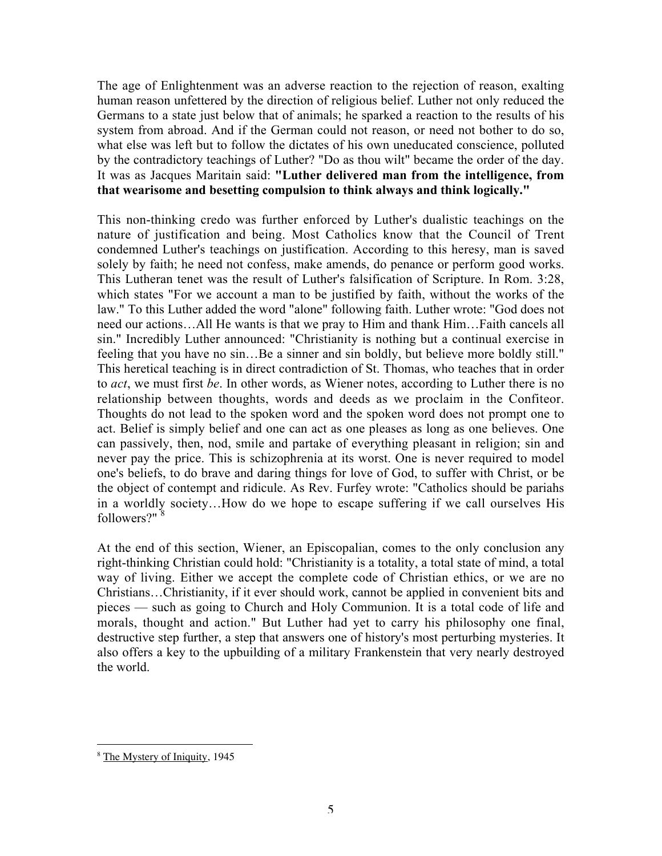The age of Enlightenment was an adverse reaction to the rejection of reason, exalting human reason unfettered by the direction of religious belief. Luther not only reduced the Germans to a state just below that of animals; he sparked a reaction to the results of his system from abroad. And if the German could not reason, or need not bother to do so, what else was left but to follow the dictates of his own uneducated conscience, polluted by the contradictory teachings of Luther? "Do as thou wilt" became the order of the day. It was as Jacques Maritain said: **"Luther delivered man from the intelligence, from that wearisome and besetting compulsion to think always and think logically."**

This non-thinking credo was further enforced by Luther's dualistic teachings on the nature of justification and being. Most Catholics know that the Council of Trent condemned Luther's teachings on justification. According to this heresy, man is saved solely by faith; he need not confess, make amends, do penance or perform good works. This Lutheran tenet was the result of Luther's falsification of Scripture. In Rom. 3:28, which states "For we account a man to be justified by faith, without the works of the law." To this Luther added the word "alone" following faith. Luther wrote: "God does not need our actions…All He wants is that we pray to Him and thank Him…Faith cancels all sin." Incredibly Luther announced: "Christianity is nothing but a continual exercise in feeling that you have no sin…Be a sinner and sin boldly, but believe more boldly still." This heretical teaching is in direct contradiction of St. Thomas, who teaches that in order to *act*, we must first *be*. In other words, as Wiener notes, according to Luther there is no relationship between thoughts, words and deeds as we proclaim in the Confiteor. Thoughts do not lead to the spoken word and the spoken word does not prompt one to act. Belief is simply belief and one can act as one pleases as long as one believes. One can passively, then, nod, smile and partake of everything pleasant in religion; sin and never pay the price. This is schizophrenia at its worst. One is never required to model one's beliefs, to do brave and daring things for love of God, to suffer with Christ, or be the object of contempt and ridicule. As Rev. Furfey wrote: "Catholics should be pariahs in a worldly society…How do we hope to escape suffering if we call ourselves His followers?"<sup>8</sup>

At the end of this section, Wiener, an Episcopalian, comes to the only conclusion any right-thinking Christian could hold: "Christianity is a totality, a total state of mind, a total way of living. Either we accept the complete code of Christian ethics, or we are no Christians…Christianity, if it ever should work, cannot be applied in convenient bits and pieces — such as going to Church and Holy Communion. It is a total code of life and morals, thought and action." But Luther had yet to carry his philosophy one final, destructive step further, a step that answers one of history's most perturbing mysteries. It also offers a key to the upbuilding of a military Frankenstein that very nearly destroyed the world.

<sup>&</sup>lt;sup>8</sup> The Mystery of Iniquity, 1945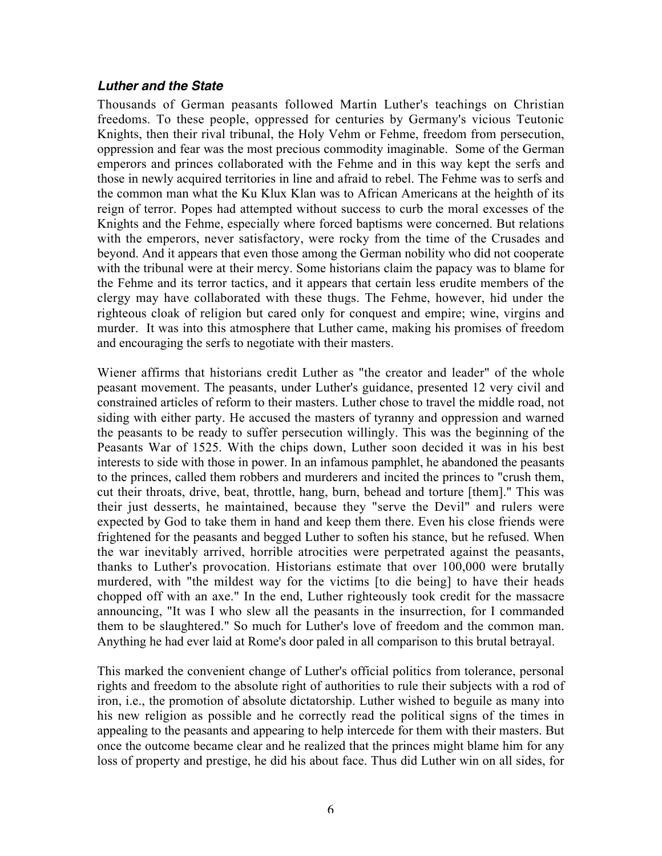### **Luther and the State**

Thousands of German peasants followed Martin Luther's teachings on Christian freedoms. To these people, oppressed for centuries by Germany's vicious Teutonic Knights, then their rival tribunal, the Holy Vehm or Fehme, freedom from persecution, oppression and fear was the most precious commodity imaginable. Some of the German emperors and princes collaborated with the Fehme and in this way kept the serfs and those in newly acquired territories in line and afraid to rebel. The Fehme was to serfs and the common man what the Ku Klux Klan was to African Americans at the heighth of its reign of terror. Popes had attempted without success to curb the moral excesses of the Knights and the Fehme, especially where forced baptisms were concerned. But relations with the emperors, never satisfactory, were rocky from the time of the Crusades and beyond. And it appears that even those among the German nobility who did not cooperate with the tribunal were at their mercy. Some historians claim the papacy was to blame for the Fehme and its terror tactics, and it appears that certain less erudite members of the clergy may have collaborated with these thugs. The Fehme, however, hid under the righteous cloak of religion but cared only for conquest and empire; wine, virgins and murder. It was into this atmosphere that Luther came, making his promises of freedom and encouraging the serfs to negotiate with their masters.

Wiener affirms that historians credit Luther as "the creator and leader" of the whole peasant movement. The peasants, under Luther's guidance, presented 12 very civil and constrained articles of reform to their masters. Luther chose to travel the middle road, not siding with either party. He accused the masters of tyranny and oppression and warned the peasants to be ready to suffer persecution willingly. This was the beginning of the Peasants War of 1525. With the chips down, Luther soon decided it was in his best interests to side with those in power. In an infamous pamphlet, he abandoned the peasants to the princes, called them robbers and murderers and incited the princes to "crush them, cut their throats, drive, beat, throttle, hang, burn, behead and torture [them]." This was their just desserts, he maintained, because they "serve the Devil" and rulers were expected by God to take them in hand and keep them there. Even his close friends were frightened for the peasants and begged Luther to soften his stance, but he refused. When the war inevitably arrived, horrible atrocities were perpetrated against the peasants, thanks to Luther's provocation. Historians estimate that over 100,000 were brutally murdered, with "the mildest way for the victims [to die being] to have their heads chopped off with an axe." In the end, Luther righteously took credit for the massacre announcing, "It was I who slew all the peasants in the insurrection, for I commanded them to be slaughtered." So much for Luther's love of freedom and the common man. Anything he had ever laid at Rome's door paled in all comparison to this brutal betrayal.

This marked the convenient change of Luther's official politics from tolerance, personal rights and freedom to the absolute right of authorities to rule their subjects with a rod of iron, i.e., the promotion of absolute dictatorship. Luther wished to beguile as many into his new religion as possible and he correctly read the political signs of the times in appealing to the peasants and appearing to help intercede for them with their masters. But once the outcome became clear and he realized that the princes might blame him for any loss of property and prestige, he did his about face. Thus did Luther win on all sides, for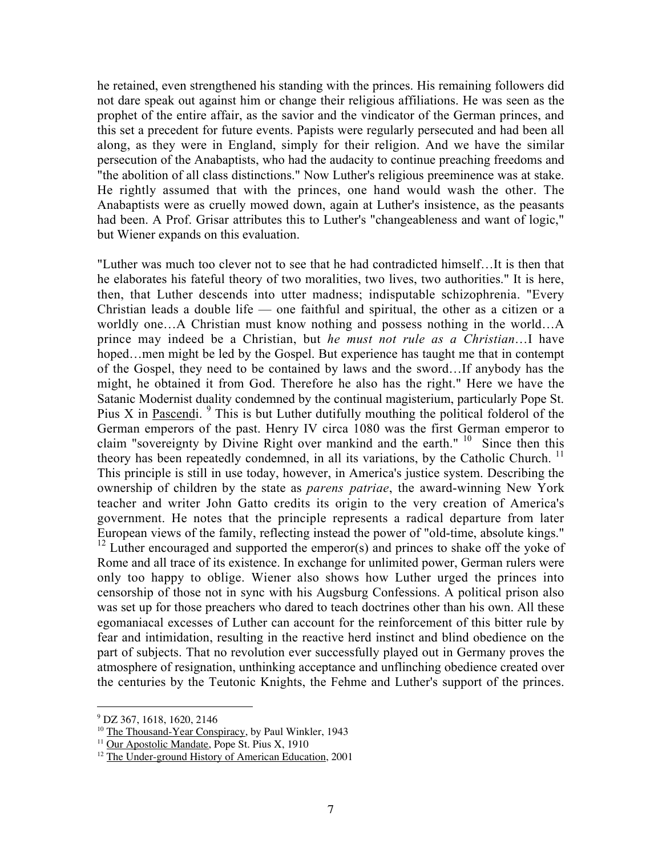he retained, even strengthened his standing with the princes. His remaining followers did not dare speak out against him or change their religious affiliations. He was seen as the prophet of the entire affair, as the savior and the vindicator of the German princes, and this set a precedent for future events. Papists were regularly persecuted and had been all along, as they were in England, simply for their religion. And we have the similar persecution of the Anabaptists, who had the audacity to continue preaching freedoms and "the abolition of all class distinctions." Now Luther's religious preeminence was at stake. He rightly assumed that with the princes, one hand would wash the other. The Anabaptists were as cruelly mowed down, again at Luther's insistence, as the peasants had been. A Prof. Grisar attributes this to Luther's "changeableness and want of logic," but Wiener expands on this evaluation.

"Luther was much too clever not to see that he had contradicted himself…It is then that he elaborates his fateful theory of two moralities, two lives, two authorities." It is here, then, that Luther descends into utter madness; indisputable schizophrenia. "Every Christian leads a double life — one faithful and spiritual, the other as a citizen or a worldly one…A Christian must know nothing and possess nothing in the world…A prince may indeed be a Christian, but *he must not rule as a Christian*…I have hoped…men might be led by the Gospel. But experience has taught me that in contempt of the Gospel, they need to be contained by laws and the sword…If anybody has the might, he obtained it from God. Therefore he also has the right." Here we have the Satanic Modernist duality condemned by the continual magisterium, particularly Pope St. Pius X in Pascendi.  $9$  This is but Luther dutifully mouthing the political folderol of the German emperors of the past. Henry IV circa 1080 was the first German emperor to claim "sovereignty by Divine Right over mankind and the earth."  $10$  Since then this theory has been repeatedly condemned, in all its variations, by the Catholic Church.<sup>11</sup> This principle is still in use today, however, in America's justice system. Describing the ownership of children by the state as *parens patriae*, the award-winning New York teacher and writer John Gatto credits its origin to the very creation of America's government. He notes that the principle represents a radical departure from later European views of the family, reflecting instead the power of "old-time, absolute kings."  $12$  Luther encouraged and supported the emperor(s) and princes to shake off the yoke of Rome and all trace of its existence. In exchange for unlimited power, German rulers were only too happy to oblige. Wiener also shows how Luther urged the princes into censorship of those not in sync with his Augsburg Confessions. A political prison also was set up for those preachers who dared to teach doctrines other than his own. All these egomaniacal excesses of Luther can account for the reinforcement of this bitter rule by fear and intimidation, resulting in the reactive herd instinct and blind obedience on the part of subjects. That no revolution ever successfully played out in Germany proves the atmosphere of resignation, unthinking acceptance and unflinching obedience created over the centuries by the Teutonic Knights, the Fehme and Luther's support of the princes.

 $\overline{a}$ 

<sup>9</sup> DZ 367, 1618, 1620, 2146

<sup>&</sup>lt;sup>10</sup> The Thousand-Year Conspiracy, by Paul Winkler, 1943

<sup>&</sup>lt;sup>11</sup> Our Apostolic Mandate, Pope St. Pius X, 1910

<sup>&</sup>lt;sup>12</sup> The Under-ground History of American Education, 2001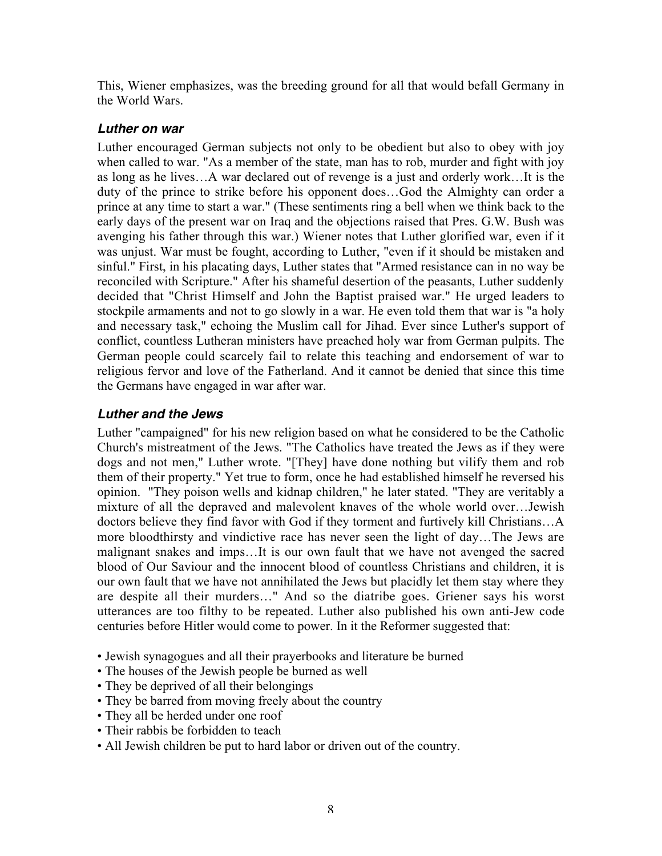This, Wiener emphasizes, was the breeding ground for all that would befall Germany in the World Wars.

### **Luther on war**

Luther encouraged German subjects not only to be obedient but also to obey with joy when called to war. "As a member of the state, man has to rob, murder and fight with joy as long as he lives…A war declared out of revenge is a just and orderly work…It is the duty of the prince to strike before his opponent does…God the Almighty can order a prince at any time to start a war." (These sentiments ring a bell when we think back to the early days of the present war on Iraq and the objections raised that Pres. G.W. Bush was avenging his father through this war.) Wiener notes that Luther glorified war, even if it was unjust. War must be fought, according to Luther, "even if it should be mistaken and sinful." First, in his placating days, Luther states that "Armed resistance can in no way be reconciled with Scripture." After his shameful desertion of the peasants, Luther suddenly decided that "Christ Himself and John the Baptist praised war." He urged leaders to stockpile armaments and not to go slowly in a war. He even told them that war is "a holy and necessary task," echoing the Muslim call for Jihad. Ever since Luther's support of conflict, countless Lutheran ministers have preached holy war from German pulpits. The German people could scarcely fail to relate this teaching and endorsement of war to religious fervor and love of the Fatherland. And it cannot be denied that since this time the Germans have engaged in war after war.

# **Luther and the Jews**

Luther "campaigned" for his new religion based on what he considered to be the Catholic Church's mistreatment of the Jews. "The Catholics have treated the Jews as if they were dogs and not men," Luther wrote. "[They] have done nothing but vilify them and rob them of their property." Yet true to form, once he had established himself he reversed his opinion. "They poison wells and kidnap children," he later stated. "They are veritably a mixture of all the depraved and malevolent knaves of the whole world over…Jewish doctors believe they find favor with God if they torment and furtively kill Christians…A more bloodthirsty and vindictive race has never seen the light of day…The Jews are malignant snakes and imps…It is our own fault that we have not avenged the sacred blood of Our Saviour and the innocent blood of countless Christians and children, it is our own fault that we have not annihilated the Jews but placidly let them stay where they are despite all their murders…" And so the diatribe goes. Griener says his worst utterances are too filthy to be repeated. Luther also published his own anti-Jew code centuries before Hitler would come to power. In it the Reformer suggested that:

- Jewish synagogues and all their prayerbooks and literature be burned
- The houses of the Jewish people be burned as well
- They be deprived of all their belongings
- They be barred from moving freely about the country
- They all be herded under one roof
- Their rabbis be forbidden to teach
- All Jewish children be put to hard labor or driven out of the country.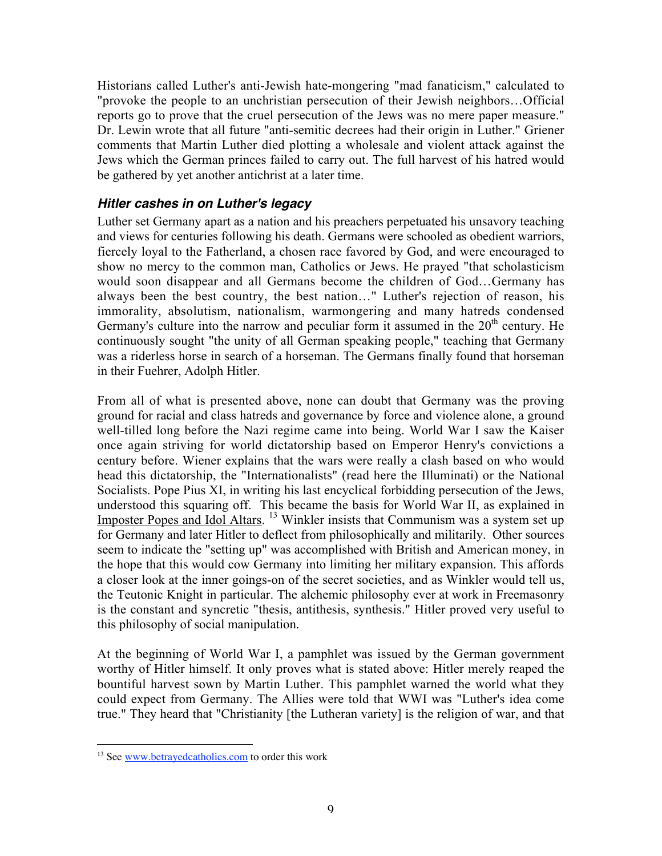Historians called Luther's anti-Jewish hate-mongering "mad fanaticism," calculated to "provoke the people to an unchristian persecution of their Jewish neighbors…Official reports go to prove that the cruel persecution of the Jews was no mere paper measure." Dr. Lewin wrote that all future "anti-semitic decrees had their origin in Luther." Griener comments that Martin Luther died plotting a wholesale and violent attack against the Jews which the German princes failed to carry out. The full harvest of his hatred would be gathered by yet another antichrist at a later time.

### **Hitler cashes in on Luther's legacy**

Luther set Germany apart as a nation and his preachers perpetuated his unsavory teaching and views for centuries following his death. Germans were schooled as obedient warriors, fiercely loyal to the Fatherland, a chosen race favored by God, and were encouraged to show no mercy to the common man, Catholics or Jews. He prayed "that scholasticism would soon disappear and all Germans become the children of God…Germany has always been the best country, the best nation…" Luther's rejection of reason, his immorality, absolutism, nationalism, warmongering and many hatreds condensed Germany's culture into the narrow and peculiar form it assumed in the  $20<sup>th</sup>$  century. He continuously sought "the unity of all German speaking people," teaching that Germany was a riderless horse in search of a horseman. The Germans finally found that horseman in their Fuehrer, Adolph Hitler.

From all of what is presented above, none can doubt that Germany was the proving ground for racial and class hatreds and governance by force and violence alone, a ground well-tilled long before the Nazi regime came into being. World War I saw the Kaiser once again striving for world dictatorship based on Emperor Henry's convictions a century before. Wiener explains that the wars were really a clash based on who would head this dictatorship, the "Internationalists" (read here the Illuminati) or the National Socialists. Pope Pius XI, in writing his last encyclical forbidding persecution of the Jews, understood this squaring off. This became the basis for World War II, as explained in Imposter Popes and Idol Altars. <sup>13</sup> Winkler insists that Communism was a system set up for Germany and later Hitler to deflect from philosophically and militarily. Other sources seem to indicate the "setting up" was accomplished with British and American money, in the hope that this would cow Germany into limiting her military expansion. This affords a closer look at the inner goings-on of the secret societies, and as Winkler would tell us, the Teutonic Knight in particular. The alchemic philosophy ever at work in Freemasonry is the constant and syncretic "thesis, antithesis, synthesis." Hitler proved very useful to this philosophy of social manipulation.

At the beginning of World War I, a pamphlet was issued by the German government worthy of Hitler himself. It only proves what is stated above: Hitler merely reaped the bountiful harvest sown by Martin Luther. This pamphlet warned the world what they could expect from Germany. The Allies were told that WWI was "Luther's idea come true." They heard that "Christianity [the Lutheran variety] is the religion of war, and that

<sup>&</sup>lt;sup>13</sup> See <u>www.betrayedcatholics.com</u> to order this work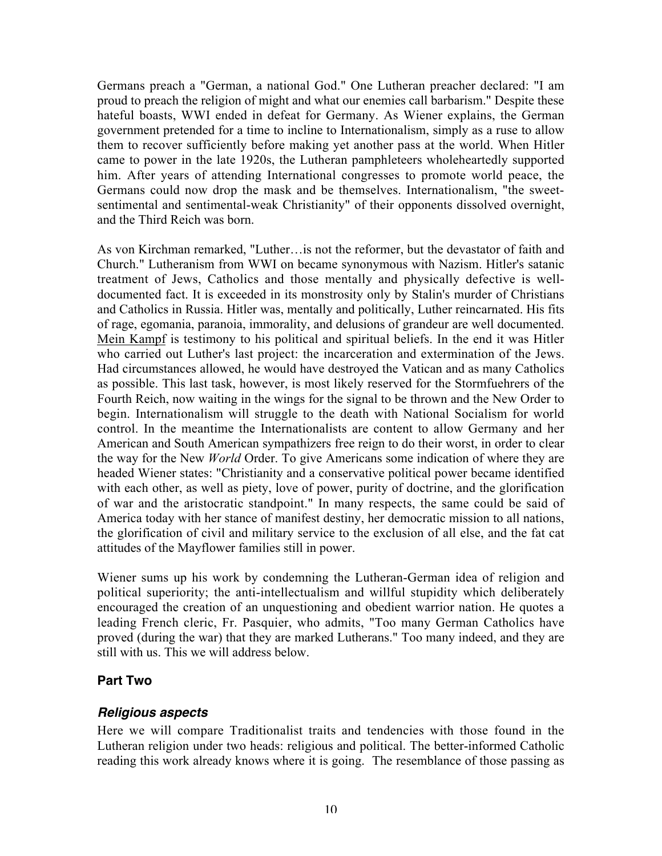Germans preach a "German, a national God." One Lutheran preacher declared: "I am proud to preach the religion of might and what our enemies call barbarism." Despite these hateful boasts, WWI ended in defeat for Germany. As Wiener explains, the German government pretended for a time to incline to Internationalism, simply as a ruse to allow them to recover sufficiently before making yet another pass at the world. When Hitler came to power in the late 1920s, the Lutheran pamphleteers wholeheartedly supported him. After years of attending International congresses to promote world peace, the Germans could now drop the mask and be themselves. Internationalism, "the sweetsentimental and sentimental-weak Christianity" of their opponents dissolved overnight, and the Third Reich was born.

As von Kirchman remarked, "Luther…is not the reformer, but the devastator of faith and Church." Lutheranism from WWI on became synonymous with Nazism. Hitler's satanic treatment of Jews, Catholics and those mentally and physically defective is welldocumented fact. It is exceeded in its monstrosity only by Stalin's murder of Christians and Catholics in Russia. Hitler was, mentally and politically, Luther reincarnated. His fits of rage, egomania, paranoia, immorality, and delusions of grandeur are well documented. Mein Kampf is testimony to his political and spiritual beliefs. In the end it was Hitler who carried out Luther's last project: the incarceration and extermination of the Jews. Had circumstances allowed, he would have destroyed the Vatican and as many Catholics as possible. This last task, however, is most likely reserved for the Stormfuehrers of the Fourth Reich, now waiting in the wings for the signal to be thrown and the New Order to begin. Internationalism will struggle to the death with National Socialism for world control. In the meantime the Internationalists are content to allow Germany and her American and South American sympathizers free reign to do their worst, in order to clear the way for the New *World* Order. To give Americans some indication of where they are headed Wiener states: "Christianity and a conservative political power became identified with each other, as well as piety, love of power, purity of doctrine, and the glorification of war and the aristocratic standpoint." In many respects, the same could be said of America today with her stance of manifest destiny, her democratic mission to all nations, the glorification of civil and military service to the exclusion of all else, and the fat cat attitudes of the Mayflower families still in power.

Wiener sums up his work by condemning the Lutheran-German idea of religion and political superiority; the anti-intellectualism and willful stupidity which deliberately encouraged the creation of an unquestioning and obedient warrior nation. He quotes a leading French cleric, Fr. Pasquier, who admits, "Too many German Catholics have proved (during the war) that they are marked Lutherans." Too many indeed, and they are still with us. This we will address below.

# **Part Two**

### **Religious aspects**

Here we will compare Traditionalist traits and tendencies with those found in the Lutheran religion under two heads: religious and political. The better-informed Catholic reading this work already knows where it is going. The resemblance of those passing as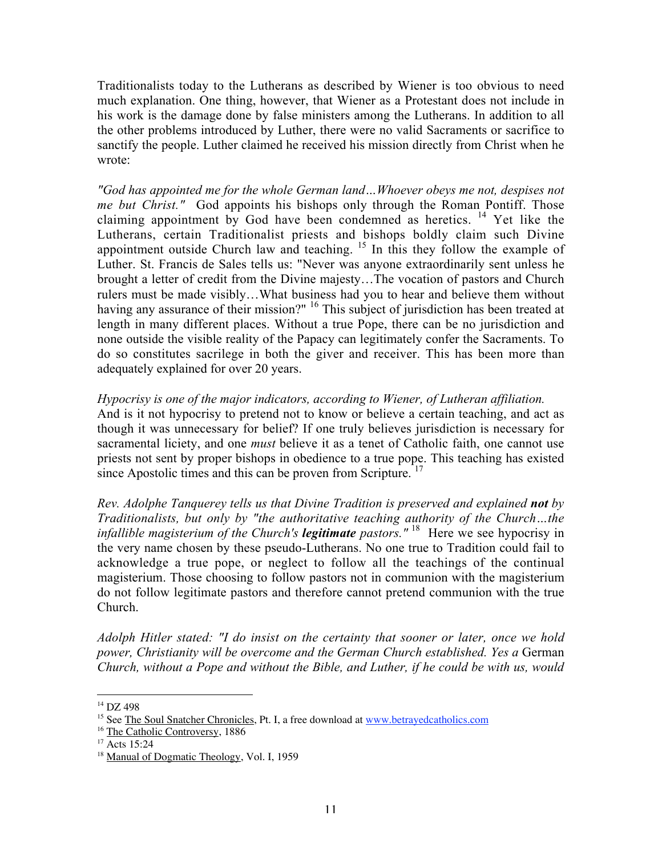Traditionalists today to the Lutherans as described by Wiener is too obvious to need much explanation. One thing, however, that Wiener as a Protestant does not include in his work is the damage done by false ministers among the Lutherans. In addition to all the other problems introduced by Luther, there were no valid Sacraments or sacrifice to sanctify the people. Luther claimed he received his mission directly from Christ when he wrote:

*"God has appointed me for the whole German land…Whoever obeys me not, despises not me but Christ."* God appoints his bishops only through the Roman Pontiff. Those claiming appointment by God have been condemned as heretics.  $14$  Yet like the Lutherans, certain Traditionalist priests and bishops boldly claim such Divine appointment outside Church law and teaching.  $15$  In this they follow the example of Luther. St. Francis de Sales tells us: "Never was anyone extraordinarily sent unless he brought a letter of credit from the Divine majesty…The vocation of pastors and Church rulers must be made visibly…What business had you to hear and believe them without having any assurance of their mission?" <sup>16</sup> This subject of jurisdiction has been treated at length in many different places. Without a true Pope, there can be no jurisdiction and none outside the visible reality of the Papacy can legitimately confer the Sacraments. To do so constitutes sacrilege in both the giver and receiver. This has been more than adequately explained for over 20 years.

#### *Hypocrisy is one of the major indicators, according to Wiener, of Lutheran affiliation.*

And is it not hypocrisy to pretend not to know or believe a certain teaching, and act as though it was unnecessary for belief? If one truly believes jurisdiction is necessary for sacramental liciety, and one *must* believe it as a tenet of Catholic faith, one cannot use priests not sent by proper bishops in obedience to a true pope. This teaching has existed since Apostolic times and this can be proven from Scripture.<sup>17</sup>

*Rev. Adolphe Tanquerey tells us that Divine Tradition is preserved and explained not by Traditionalists, but only by "the authoritative teaching authority of the Church…the infallible magisterium of the Church's legitimate pastors." <sup>18</sup> Here we see hypocrisy in* the very name chosen by these pseudo-Lutherans. No one true to Tradition could fail to acknowledge a true pope, or neglect to follow all the teachings of the continual magisterium. Those choosing to follow pastors not in communion with the magisterium do not follow legitimate pastors and therefore cannot pretend communion with the true Church.

*Adolph Hitler stated: "I do insist on the certainty that sooner or later, once we hold power, Christianity will be overcome and the German Church established. Yes a* German *Church, without a Pope and without the Bible, and Luther, if he could be with us, would*

 $\overline{a}$ 

<sup>14</sup> DZ 498

<sup>&</sup>lt;sup>15</sup> See The Soul Snatcher Chronicles, Pt. I, a free download at www.betrayedcatholics.com

<sup>&</sup>lt;sup>16</sup> The Catholic Controversy, 1886

<sup>17</sup> Acts 15:24

<sup>&</sup>lt;sup>18</sup> Manual of Dogmatic Theology, Vol. I, 1959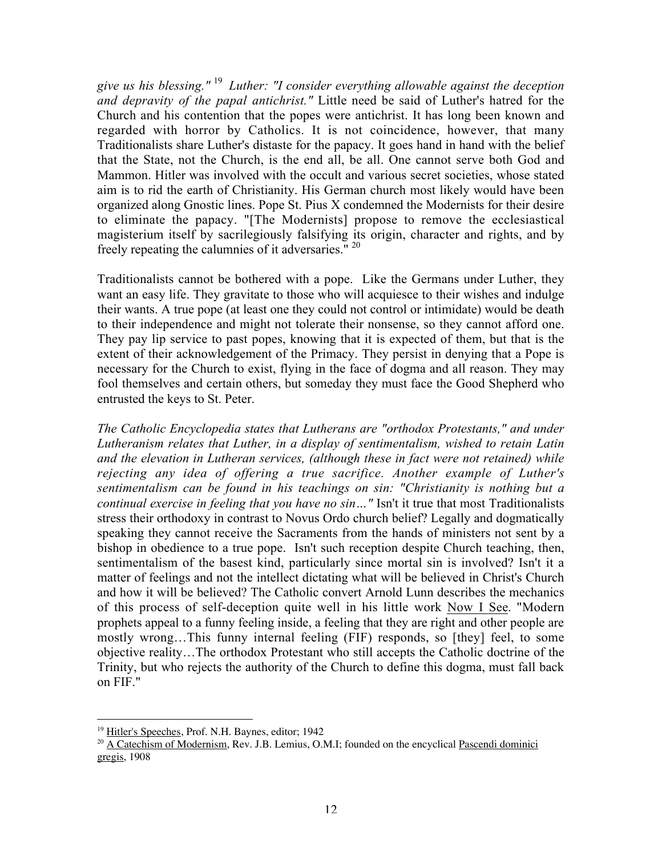*give us his blessing."* <sup>19</sup> *Luther: "I consider everything allowable against the deception and depravity of the papal antichrist."* Little need be said of Luther's hatred for the Church and his contention that the popes were antichrist. It has long been known and regarded with horror by Catholics. It is not coincidence, however, that many Traditionalists share Luther's distaste for the papacy. It goes hand in hand with the belief that the State, not the Church, is the end all, be all. One cannot serve both God and Mammon. Hitler was involved with the occult and various secret societies, whose stated aim is to rid the earth of Christianity. His German church most likely would have been organized along Gnostic lines. Pope St. Pius X condemned the Modernists for their desire to eliminate the papacy. "[The Modernists] propose to remove the ecclesiastical magisterium itself by sacrilegiously falsifying its origin, character and rights, and by freely repeating the calumnies of it adversaries." 20

Traditionalists cannot be bothered with a pope. Like the Germans under Luther, they want an easy life. They gravitate to those who will acquiesce to their wishes and indulge their wants. A true pope (at least one they could not control or intimidate) would be death to their independence and might not tolerate their nonsense, so they cannot afford one. They pay lip service to past popes, knowing that it is expected of them, but that is the extent of their acknowledgement of the Primacy. They persist in denying that a Pope is necessary for the Church to exist, flying in the face of dogma and all reason. They may fool themselves and certain others, but someday they must face the Good Shepherd who entrusted the keys to St. Peter.

*The Catholic Encyclopedia states that Lutherans are "orthodox Protestants," and under Lutheranism relates that Luther, in a display of sentimentalism, wished to retain Latin and the elevation in Lutheran services, (although these in fact were not retained) while rejecting any idea of offering a true sacrifice. Another example of Luther's sentimentalism can be found in his teachings on sin: "Christianity is nothing but a continual exercise in feeling that you have no sin…"* Isn't it true that most Traditionalists stress their orthodoxy in contrast to Novus Ordo church belief? Legally and dogmatically speaking they cannot receive the Sacraments from the hands of ministers not sent by a bishop in obedience to a true pope. Isn't such reception despite Church teaching, then, sentimentalism of the basest kind, particularly since mortal sin is involved? Isn't it a matter of feelings and not the intellect dictating what will be believed in Christ's Church and how it will be believed? The Catholic convert Arnold Lunn describes the mechanics of this process of self-deception quite well in his little work Now I See. "Modern prophets appeal to a funny feeling inside, a feeling that they are right and other people are mostly wrong…This funny internal feeling (FIF) responds, so [they] feel, to some objective reality…The orthodox Protestant who still accepts the Catholic doctrine of the Trinity, but who rejects the authority of the Church to define this dogma, must fall back on FIF."

<sup>19&</sup>lt;br><sup>19</sup> Hitler's Speeches, Prof. N.H. Baynes, editor; 1942

<sup>&</sup>lt;sup>20</sup> A Catechism of Modernism, Rev. J.B. Lemius, O.M.I; founded on the encyclical Pascendi dominici gregis, 1908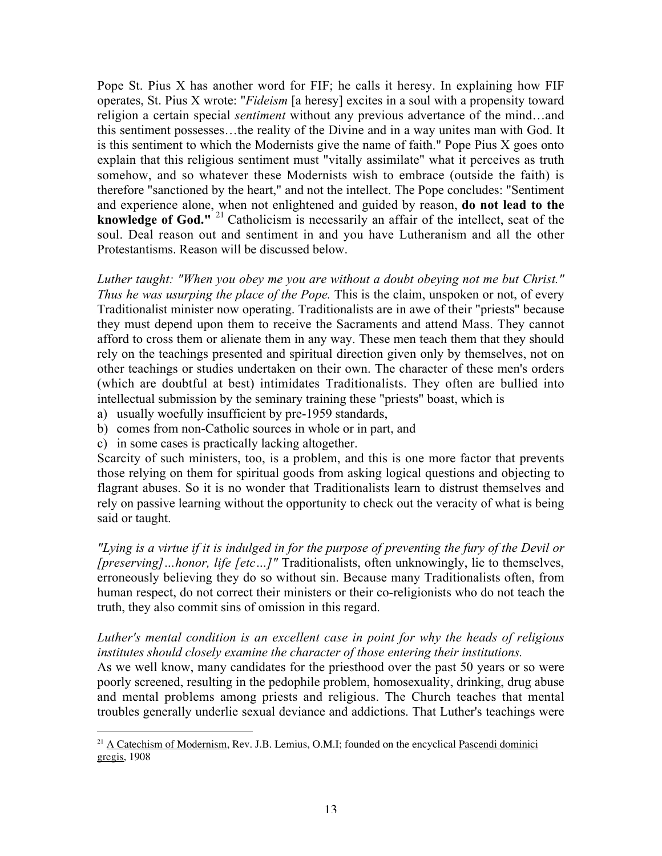Pope St. Pius X has another word for FIF; he calls it heresy. In explaining how FIF operates, St. Pius X wrote: "*Fideism* [a heresy] excites in a soul with a propensity toward religion a certain special *sentiment* without any previous advertance of the mind…and this sentiment possesses…the reality of the Divine and in a way unites man with God. It is this sentiment to which the Modernists give the name of faith." Pope Pius X goes onto explain that this religious sentiment must "vitally assimilate" what it perceives as truth somehow, and so whatever these Modernists wish to embrace (outside the faith) is therefore "sanctioned by the heart," and not the intellect. The Pope concludes: "Sentiment and experience alone, when not enlightened and guided by reason, **do not lead to the knowledge of God."** <sup>21</sup> Catholicism is necessarily an affair of the intellect, seat of the soul. Deal reason out and sentiment in and you have Lutheranism and all the other Protestantisms. Reason will be discussed below.

*Luther taught: "When you obey me you are without a doubt obeying not me but Christ." Thus he was usurping the place of the Pope.* This is the claim, unspoken or not, of every Traditionalist minister now operating. Traditionalists are in awe of their "priests" because they must depend upon them to receive the Sacraments and attend Mass. They cannot afford to cross them or alienate them in any way. These men teach them that they should rely on the teachings presented and spiritual direction given only by themselves, not on other teachings or studies undertaken on their own. The character of these men's orders (which are doubtful at best) intimidates Traditionalists. They often are bullied into intellectual submission by the seminary training these "priests" boast, which is

- a) usually woefully insufficient by pre-1959 standards,
- b) comes from non-Catholic sources in whole or in part, and
- c) in some cases is practically lacking altogether.

Scarcity of such ministers, too, is a problem, and this is one more factor that prevents those relying on them for spiritual goods from asking logical questions and objecting to flagrant abuses. So it is no wonder that Traditionalists learn to distrust themselves and rely on passive learning without the opportunity to check out the veracity of what is being said or taught.

*"Lying is a virtue if it is indulged in for the purpose of preventing the fury of the Devil or [preserving]…honor, life [etc…]"* Traditionalists, often unknowingly, lie to themselves, erroneously believing they do so without sin. Because many Traditionalists often, from human respect, do not correct their ministers or their co-religionists who do not teach the truth, they also commit sins of omission in this regard.

### *Luther's mental condition is an excellent case in point for why the heads of religious institutes should closely examine the character of those entering their institutions.*

As we well know, many candidates for the priesthood over the past 50 years or so were poorly screened, resulting in the pedophile problem, homosexuality, drinking, drug abuse and mental problems among priests and religious. The Church teaches that mental troubles generally underlie sexual deviance and addictions. That Luther's teachings were

<sup>&</sup>lt;sup>21</sup> A Catechism of Modernism, Rev. J.B. Lemius, O.M.I; founded on the encyclical <u>Pascendi dominici</u> gregis, 1908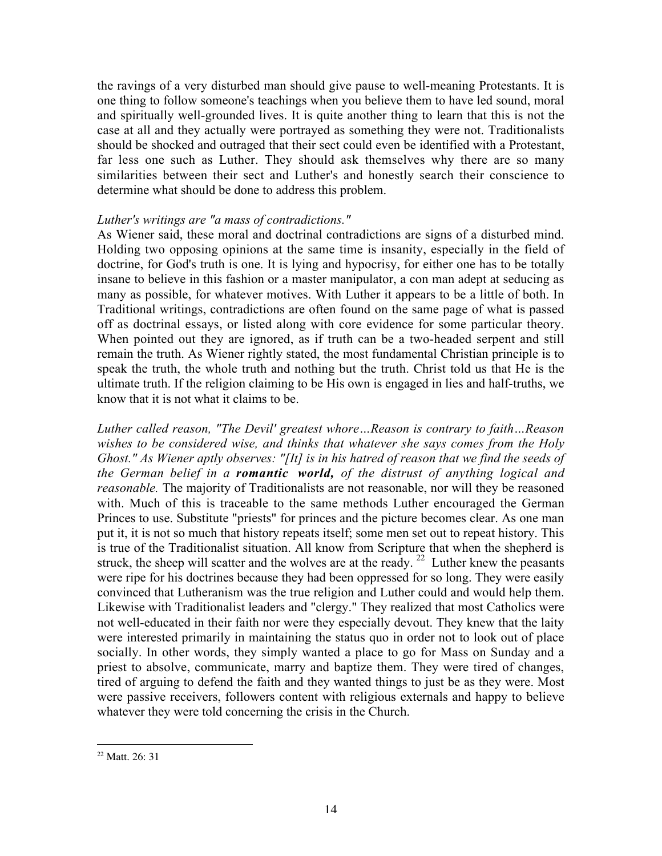the ravings of a very disturbed man should give pause to well-meaning Protestants. It is one thing to follow someone's teachings when you believe them to have led sound, moral and spiritually well-grounded lives. It is quite another thing to learn that this is not the case at all and they actually were portrayed as something they were not. Traditionalists should be shocked and outraged that their sect could even be identified with a Protestant, far less one such as Luther. They should ask themselves why there are so many similarities between their sect and Luther's and honestly search their conscience to determine what should be done to address this problem.

#### *Luther's writings are "a mass of contradictions."*

As Wiener said, these moral and doctrinal contradictions are signs of a disturbed mind. Holding two opposing opinions at the same time is insanity, especially in the field of doctrine, for God's truth is one. It is lying and hypocrisy, for either one has to be totally insane to believe in this fashion or a master manipulator, a con man adept at seducing as many as possible, for whatever motives. With Luther it appears to be a little of both. In Traditional writings, contradictions are often found on the same page of what is passed off as doctrinal essays, or listed along with core evidence for some particular theory. When pointed out they are ignored, as if truth can be a two-headed serpent and still remain the truth. As Wiener rightly stated, the most fundamental Christian principle is to speak the truth, the whole truth and nothing but the truth. Christ told us that He is the ultimate truth. If the religion claiming to be His own is engaged in lies and half-truths, we know that it is not what it claims to be.

*Luther called reason, "The Devil' greatest whore…Reason is contrary to faith…Reason wishes to be considered wise, and thinks that whatever she says comes from the Holy Ghost." As Wiener aptly observes: "[It] is in his hatred of reason that we find the seeds of the German belief in a romantic world, of the distrust of anything logical and reasonable.* The majority of Traditionalists are not reasonable, nor will they be reasoned with. Much of this is traceable to the same methods Luther encouraged the German Princes to use. Substitute "priests" for princes and the picture becomes clear. As one man put it, it is not so much that history repeats itself; some men set out to repeat history. This is true of the Traditionalist situation. All know from Scripture that when the shepherd is struck, the sheep will scatter and the wolves are at the ready.  $22$  Luther knew the peasants were ripe for his doctrines because they had been oppressed for so long. They were easily convinced that Lutheranism was the true religion and Luther could and would help them. Likewise with Traditionalist leaders and "clergy." They realized that most Catholics were not well-educated in their faith nor were they especially devout. They knew that the laity were interested primarily in maintaining the status quo in order not to look out of place socially. In other words, they simply wanted a place to go for Mass on Sunday and a priest to absolve, communicate, marry and baptize them. They were tired of changes, tired of arguing to defend the faith and they wanted things to just be as they were. Most were passive receivers, followers content with religious externals and happy to believe whatever they were told concerning the crisis in the Church.

<sup>&</sup>lt;sup>22</sup> Matt. 26: 31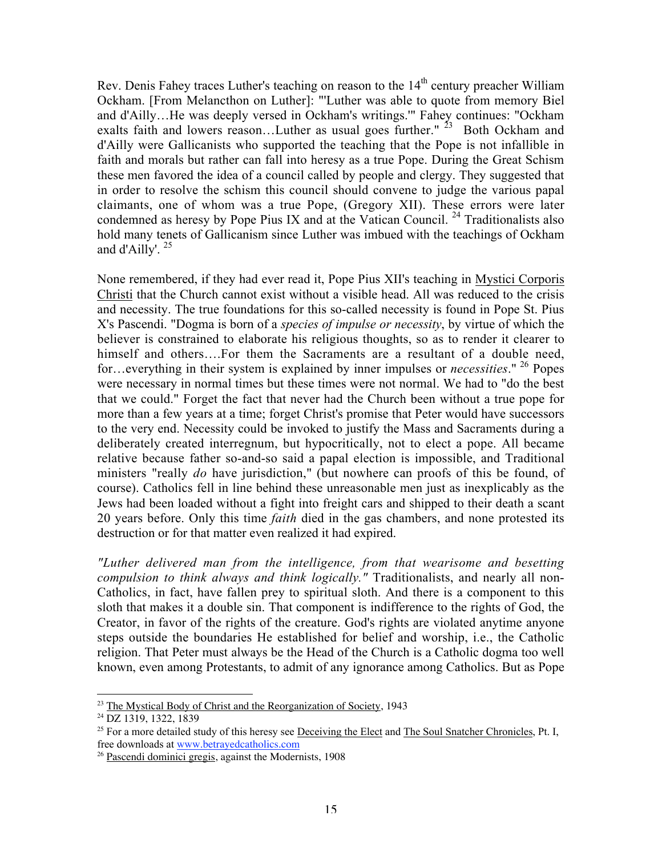Rev. Denis Fahey traces Luther's teaching on reason to the 14<sup>th</sup> century preacher William Ockham. [From Melancthon on Luther]: "'Luther was able to quote from memory Biel and d'Ailly…He was deeply versed in Ockham's writings.'" Fahey continues: "Ockham exalts faith and lowers reason...Luther as usual goes further."  $^{23}$  Both Ockham and d'Ailly were Gallicanists who supported the teaching that the Pope is not infallible in faith and morals but rather can fall into heresy as a true Pope. During the Great Schism these men favored the idea of a council called by people and clergy. They suggested that in order to resolve the schism this council should convene to judge the various papal claimants, one of whom was a true Pope, (Gregory XII). These errors were later condemned as heresy by Pope Pius IX and at the Vatican Council.<sup>24</sup> Traditionalists also hold many tenets of Gallicanism since Luther was imbued with the teachings of Ockham and d'Ailly'.  $25$ 

None remembered, if they had ever read it, Pope Pius XII's teaching in Mystici Corporis Christi that the Church cannot exist without a visible head. All was reduced to the crisis and necessity. The true foundations for this so-called necessity is found in Pope St. Pius X's Pascendi. "Dogma is born of a *species of impulse or necessity*, by virtue of which the believer is constrained to elaborate his religious thoughts, so as to render it clearer to himself and others....For them the Sacraments are a resultant of a double need, for…everything in their system is explained by inner impulses or *necessities*." <sup>26</sup> Popes were necessary in normal times but these times were not normal. We had to "do the best that we could." Forget the fact that never had the Church been without a true pope for more than a few years at a time; forget Christ's promise that Peter would have successors to the very end. Necessity could be invoked to justify the Mass and Sacraments during a deliberately created interregnum, but hypocritically, not to elect a pope. All became relative because father so-and-so said a papal election is impossible, and Traditional ministers "really *do* have jurisdiction," (but nowhere can proofs of this be found, of course). Catholics fell in line behind these unreasonable men just as inexplicably as the Jews had been loaded without a fight into freight cars and shipped to their death a scant 20 years before. Only this time *faith* died in the gas chambers, and none protested its destruction or for that matter even realized it had expired.

*"Luther delivered man from the intelligence, from that wearisome and besetting compulsion to think always and think logically."* Traditionalists, and nearly all non-Catholics, in fact, have fallen prey to spiritual sloth. And there is a component to this sloth that makes it a double sin. That component is indifference to the rights of God, the Creator, in favor of the rights of the creature. God's rights are violated anytime anyone steps outside the boundaries He established for belief and worship, i.e., the Catholic religion. That Peter must always be the Head of the Church is a Catholic dogma too well known, even among Protestants, to admit of any ignorance among Catholics. But as Pope

 $\overline{a}$ <sup>23</sup> The Mystical Body of Christ and the Reorganization of Society, 1943

<sup>24</sup> DZ 1319, 1322, 1839

<sup>&</sup>lt;sup>25</sup> For a more detailed study of this heresy see Deceiving the Elect and The Soul Snatcher Chronicles, Pt. I, free downloads at www.betrayedcatholics.com

<sup>&</sup>lt;sup>26</sup> Pascendi dominici gregis, against the Modernists, 1908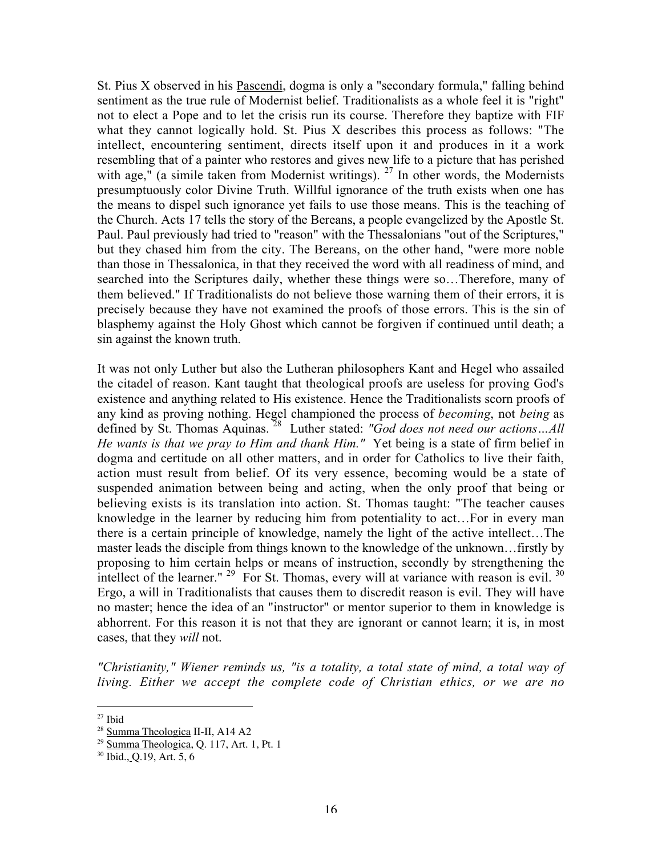St. Pius X observed in his Pascendi, dogma is only a "secondary formula," falling behind sentiment as the true rule of Modernist belief. Traditionalists as a whole feel it is "right" not to elect a Pope and to let the crisis run its course. Therefore they baptize with FIF what they cannot logically hold. St. Pius X describes this process as follows: "The intellect, encountering sentiment, directs itself upon it and produces in it a work resembling that of a painter who restores and gives new life to a picture that has perished with age," (a simile taken from Modernist writings).  $27$  In other words, the Modernists presumptuously color Divine Truth. Willful ignorance of the truth exists when one has the means to dispel such ignorance yet fails to use those means. This is the teaching of the Church. Acts 17 tells the story of the Bereans, a people evangelized by the Apostle St. Paul. Paul previously had tried to "reason" with the Thessalonians "out of the Scriptures," but they chased him from the city. The Bereans, on the other hand, "were more noble than those in Thessalonica, in that they received the word with all readiness of mind, and searched into the Scriptures daily, whether these things were so…Therefore, many of them believed." If Traditionalists do not believe those warning them of their errors, it is precisely because they have not examined the proofs of those errors. This is the sin of blasphemy against the Holy Ghost which cannot be forgiven if continued until death; a sin against the known truth.

It was not only Luther but also the Lutheran philosophers Kant and Hegel who assailed the citadel of reason. Kant taught that theological proofs are useless for proving God's existence and anything related to His existence. Hence the Traditionalists scorn proofs of any kind as proving nothing. Hegel championed the process of *becoming*, not *being* as defined by St. Thomas Aquinas.<sup>28</sup> Luther stated: "God does not need our actions...All *He wants is that we pray to Him and thank Him."* Yet being is a state of firm belief in dogma and certitude on all other matters, and in order for Catholics to live their faith, action must result from belief. Of its very essence, becoming would be a state of suspended animation between being and acting, when the only proof that being or believing exists is its translation into action. St. Thomas taught: "The teacher causes knowledge in the learner by reducing him from potentiality to act…For in every man there is a certain principle of knowledge, namely the light of the active intellect…The master leads the disciple from things known to the knowledge of the unknown…firstly by proposing to him certain helps or means of instruction, secondly by strengthening the intellect of the learner."  $29$  For St. Thomas, every will at variance with reason is evil.  $30$ Ergo, a will in Traditionalists that causes them to discredit reason is evil. They will have no master; hence the idea of an "instructor" or mentor superior to them in knowledge is abhorrent. For this reason it is not that they are ignorant or cannot learn; it is, in most cases, that they *will* not.

*"Christianity," Wiener reminds us, "is a totality, a total state of mind, a total way of living. Either we accept the complete code of Christian ethics, or we are no*

 $\overline{a}$  $27$  Ibid

<sup>&</sup>lt;sup>28</sup> Summa Theologica II-II, A14 A2

<sup>&</sup>lt;sup>29</sup> Summa Theologica, Q. 117, Art. 1, Pt. 1

<sup>30</sup> Ibid., Q.19, Art. 5, 6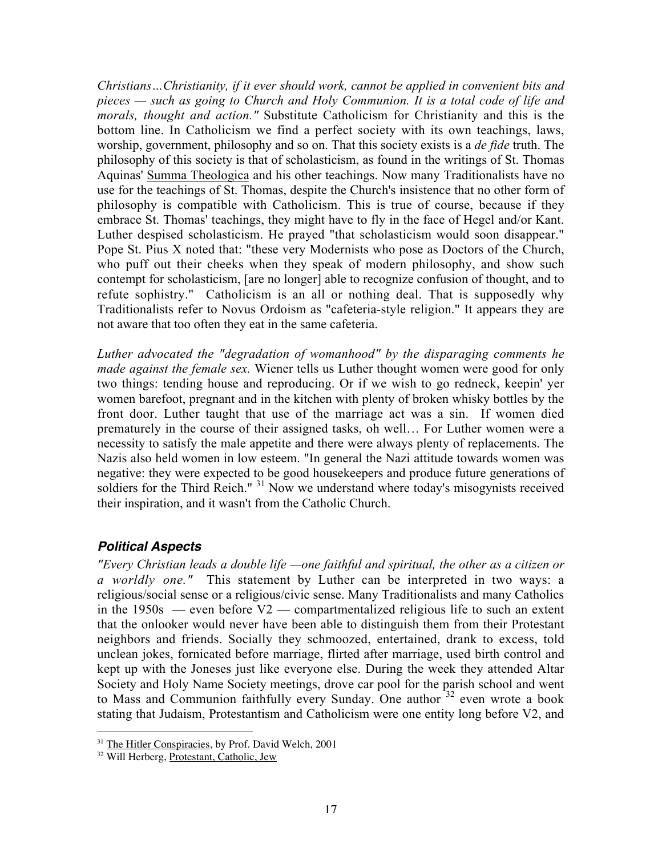*Christians…Christianity, if it ever should work, cannot be applied in convenient bits and pieces — such as going to Church and Holy Communion. It is a total code of life and morals, thought and action."* Substitute Catholicism for Christianity and this is the bottom line. In Catholicism we find a perfect society with its own teachings, laws, worship, government, philosophy and so on. That this society exists is a *de fide* truth. The philosophy of this society is that of scholasticism, as found in the writings of St. Thomas Aquinas' Summa Theologica and his other teachings. Now many Traditionalists have no use for the teachings of St. Thomas, despite the Church's insistence that no other form of philosophy is compatible with Catholicism. This is true of course, because if they embrace St. Thomas' teachings, they might have to fly in the face of Hegel and/or Kant. Luther despised scholasticism. He prayed "that scholasticism would soon disappear." Pope St. Pius X noted that: "these very Modernists who pose as Doctors of the Church, who puff out their cheeks when they speak of modern philosophy, and show such contempt for scholasticism, [are no longer] able to recognize confusion of thought, and to refute sophistry." Catholicism is an all or nothing deal. That is supposedly why Traditionalists refer to Novus Ordoism as "cafeteria-style religion." It appears they are not aware that too often they eat in the same cafeteria.

*Luther advocated the "degradation of womanhood" by the disparaging comments he made against the female sex.* Wiener tells us Luther thought women were good for only two things: tending house and reproducing. Or if we wish to go redneck, keepin' yer women barefoot, pregnant and in the kitchen with plenty of broken whisky bottles by the front door. Luther taught that use of the marriage act was a sin. If women died prematurely in the course of their assigned tasks, oh well… For Luther women were a necessity to satisfy the male appetite and there were always plenty of replacements. The Nazis also held women in low esteem. "In general the Nazi attitude towards women was negative: they were expected to be good housekeepers and produce future generations of soldiers for the Third Reich." <sup>31</sup> Now we understand where today's misogynists received their inspiration, and it wasn't from the Catholic Church.

# **Political Aspects**

*"Every Christian leads a double life —one faithful and spiritual, the other as a citizen or a worldly one."* This statement by Luther can be interpreted in two ways: a religious/social sense or a religious/civic sense. Many Traditionalists and many Catholics in the  $1950s$  — even before  $V2$  — compartmentalized religious life to such an extent that the onlooker would never have been able to distinguish them from their Protestant neighbors and friends. Socially they schmoozed, entertained, drank to excess, told unclean jokes, fornicated before marriage, flirted after marriage, used birth control and kept up with the Joneses just like everyone else. During the week they attended Altar Society and Holy Name Society meetings, drove car pool for the parish school and went to Mass and Communion faithfully every Sunday. One author <sup>32</sup> even wrote a book stating that Judaism, Protestantism and Catholicism were one entity long before V2, and

<sup>&</sup>lt;sup>31</sup> The Hitler Conspiracies, by Prof. David Welch, 2001

<sup>&</sup>lt;sup>32</sup> Will Herberg, Protestant, Catholic, Jew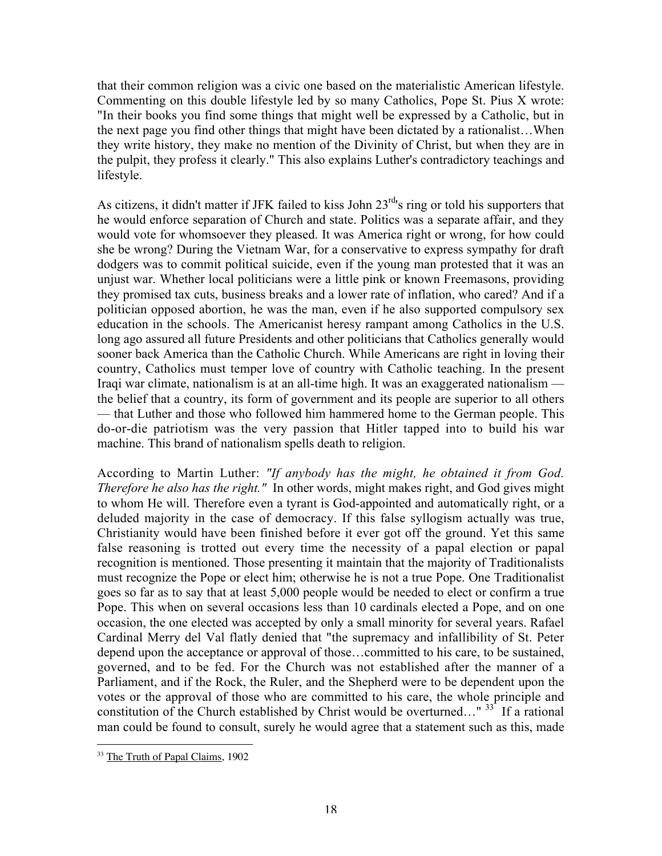that their common religion was a civic one based on the materialistic American lifestyle. Commenting on this double lifestyle led by so many Catholics, Pope St. Pius X wrote: "In their books you find some things that might well be expressed by a Catholic, but in the next page you find other things that might have been dictated by a rationalist…When they write history, they make no mention of the Divinity of Christ, but when they are in the pulpit, they profess it clearly." This also explains Luther's contradictory teachings and lifestyle.

As citizens, it didn't matter if JFK failed to kiss John 23<sup>rd</sup>'s ring or told his supporters that he would enforce separation of Church and state. Politics was a separate affair, and they would vote for whomsoever they pleased. It was America right or wrong, for how could she be wrong? During the Vietnam War, for a conservative to express sympathy for draft dodgers was to commit political suicide, even if the young man protested that it was an unjust war. Whether local politicians were a little pink or known Freemasons, providing they promised tax cuts, business breaks and a lower rate of inflation, who cared? And if a politician opposed abortion, he was the man, even if he also supported compulsory sex education in the schools. The Americanist heresy rampant among Catholics in the U.S. long ago assured all future Presidents and other politicians that Catholics generally would sooner back America than the Catholic Church. While Americans are right in loving their country, Catholics must temper love of country with Catholic teaching. In the present Iraqi war climate, nationalism is at an all-time high. It was an exaggerated nationalism the belief that a country, its form of government and its people are superior to all others — that Luther and those who followed him hammered home to the German people. This do-or-die patriotism was the very passion that Hitler tapped into to build his war machine. This brand of nationalism spells death to religion.

According to Martin Luther: *"If anybody has the might, he obtained it from God. Therefore he also has the right."* In other words, might makes right, and God gives might to whom He will. Therefore even a tyrant is God-appointed and automatically right, or a deluded majority in the case of democracy. If this false syllogism actually was true, Christianity would have been finished before it ever got off the ground. Yet this same false reasoning is trotted out every time the necessity of a papal election or papal recognition is mentioned. Those presenting it maintain that the majority of Traditionalists must recognize the Pope or elect him; otherwise he is not a true Pope. One Traditionalist goes so far as to say that at least 5,000 people would be needed to elect or confirm a true Pope. This when on several occasions less than 10 cardinals elected a Pope, and on one occasion, the one elected was accepted by only a small minority for several years. Rafael Cardinal Merry del Val flatly denied that "the supremacy and infallibility of St. Peter depend upon the acceptance or approval of those…committed to his care, to be sustained, governed, and to be fed. For the Church was not established after the manner of a Parliament, and if the Rock, the Ruler, and the Shepherd were to be dependent upon the votes or the approval of those who are committed to his care, the whole principle and constitution of the Church established by Christ would be overturned..."  $33^{2}$  If a rational man could be found to consult, surely he would agree that a statement such as this, made

<sup>&</sup>lt;sup>33</sup> The Truth of Papal Claims, 1902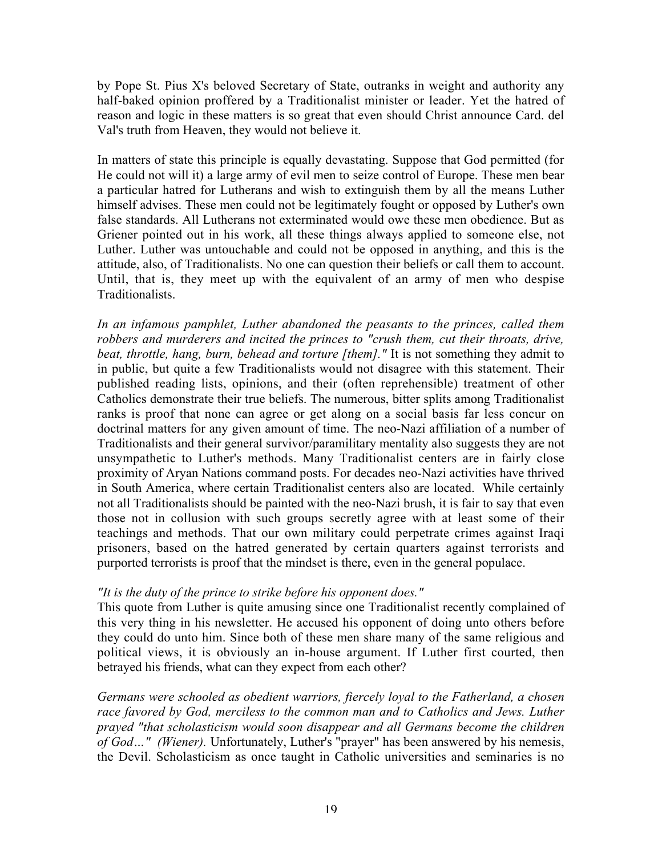by Pope St. Pius X's beloved Secretary of State, outranks in weight and authority any half-baked opinion proffered by a Traditionalist minister or leader. Yet the hatred of reason and logic in these matters is so great that even should Christ announce Card. del Val's truth from Heaven, they would not believe it.

In matters of state this principle is equally devastating. Suppose that God permitted (for He could not will it) a large army of evil men to seize control of Europe. These men bear a particular hatred for Lutherans and wish to extinguish them by all the means Luther himself advises. These men could not be legitimately fought or opposed by Luther's own false standards. All Lutherans not exterminated would owe these men obedience. But as Griener pointed out in his work, all these things always applied to someone else, not Luther. Luther was untouchable and could not be opposed in anything, and this is the attitude, also, of Traditionalists. No one can question their beliefs or call them to account. Until, that is, they meet up with the equivalent of an army of men who despise Traditionalists.

*In an infamous pamphlet, Luther abandoned the peasants to the princes, called them robbers and murderers and incited the princes to "crush them, cut their throats, drive, beat, throttle, hang, burn, behead and torture [them]."* It is not something they admit to in public, but quite a few Traditionalists would not disagree with this statement. Their published reading lists, opinions, and their (often reprehensible) treatment of other Catholics demonstrate their true beliefs. The numerous, bitter splits among Traditionalist ranks is proof that none can agree or get along on a social basis far less concur on doctrinal matters for any given amount of time. The neo-Nazi affiliation of a number of Traditionalists and their general survivor/paramilitary mentality also suggests they are not unsympathetic to Luther's methods. Many Traditionalist centers are in fairly close proximity of Aryan Nations command posts. For decades neo-Nazi activities have thrived in South America, where certain Traditionalist centers also are located. While certainly not all Traditionalists should be painted with the neo-Nazi brush, it is fair to say that even those not in collusion with such groups secretly agree with at least some of their teachings and methods. That our own military could perpetrate crimes against Iraqi prisoners, based on the hatred generated by certain quarters against terrorists and purported terrorists is proof that the mindset is there, even in the general populace.

#### *"It is the duty of the prince to strike before his opponent does."*

This quote from Luther is quite amusing since one Traditionalist recently complained of this very thing in his newsletter. He accused his opponent of doing unto others before they could do unto him. Since both of these men share many of the same religious and political views, it is obviously an in-house argument. If Luther first courted, then betrayed his friends, what can they expect from each other?

*Germans were schooled as obedient warriors, fiercely loyal to the Fatherland, a chosen race favored by God, merciless to the common man and to Catholics and Jews. Luther prayed "that scholasticism would soon disappear and all Germans become the children of God…" (Wiener).* Unfortunately, Luther's "prayer" has been answered by his nemesis, the Devil. Scholasticism as once taught in Catholic universities and seminaries is no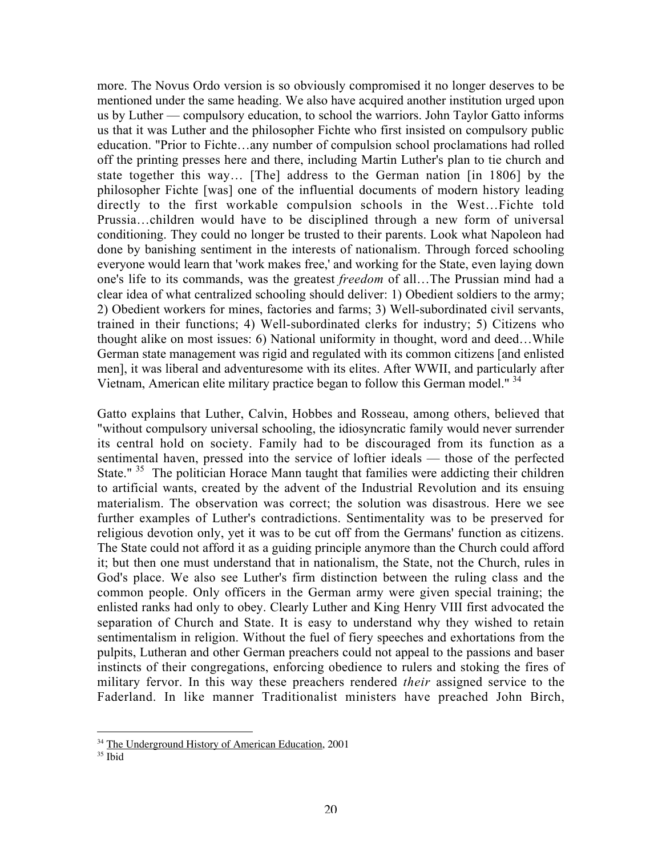more. The Novus Ordo version is so obviously compromised it no longer deserves to be mentioned under the same heading. We also have acquired another institution urged upon us by Luther — compulsory education, to school the warriors. John Taylor Gatto informs us that it was Luther and the philosopher Fichte who first insisted on compulsory public education. "Prior to Fichte…any number of compulsion school proclamations had rolled off the printing presses here and there, including Martin Luther's plan to tie church and state together this way… [The] address to the German nation [in 1806] by the philosopher Fichte [was] one of the influential documents of modern history leading directly to the first workable compulsion schools in the West…Fichte told Prussia…children would have to be disciplined through a new form of universal conditioning. They could no longer be trusted to their parents. Look what Napoleon had done by banishing sentiment in the interests of nationalism. Through forced schooling everyone would learn that 'work makes free,' and working for the State, even laying down one's life to its commands, was the greatest *freedom* of all…The Prussian mind had a clear idea of what centralized schooling should deliver: 1) Obedient soldiers to the army; 2) Obedient workers for mines, factories and farms; 3) Well-subordinated civil servants, trained in their functions; 4) Well-subordinated clerks for industry; 5) Citizens who thought alike on most issues: 6) National uniformity in thought, word and deed…While German state management was rigid and regulated with its common citizens [and enlisted men], it was liberal and adventuresome with its elites. After WWII, and particularly after Vietnam, American elite military practice began to follow this German model."<sup>34</sup>

Gatto explains that Luther, Calvin, Hobbes and Rosseau, among others, believed that "without compulsory universal schooling, the idiosyncratic family would never surrender its central hold on society. Family had to be discouraged from its function as a sentimental haven, pressed into the service of loftier ideals — those of the perfected State." <sup>35</sup> The politician Horace Mann taught that families were addicting their children to artificial wants, created by the advent of the Industrial Revolution and its ensuing materialism. The observation was correct; the solution was disastrous. Here we see further examples of Luther's contradictions. Sentimentality was to be preserved for religious devotion only, yet it was to be cut off from the Germans' function as citizens. The State could not afford it as a guiding principle anymore than the Church could afford it; but then one must understand that in nationalism, the State, not the Church, rules in God's place. We also see Luther's firm distinction between the ruling class and the common people. Only officers in the German army were given special training; the enlisted ranks had only to obey. Clearly Luther and King Henry VIII first advocated the separation of Church and State. It is easy to understand why they wished to retain sentimentalism in religion. Without the fuel of fiery speeches and exhortations from the pulpits, Lutheran and other German preachers could not appeal to the passions and baser instincts of their congregations, enforcing obedience to rulers and stoking the fires of military fervor. In this way these preachers rendered *their* assigned service to the Faderland. In like manner Traditionalist ministers have preached John Birch,

<sup>&</sup>lt;sup>34</sup> The Underground History of American Education, 2001

<sup>35</sup> Ibid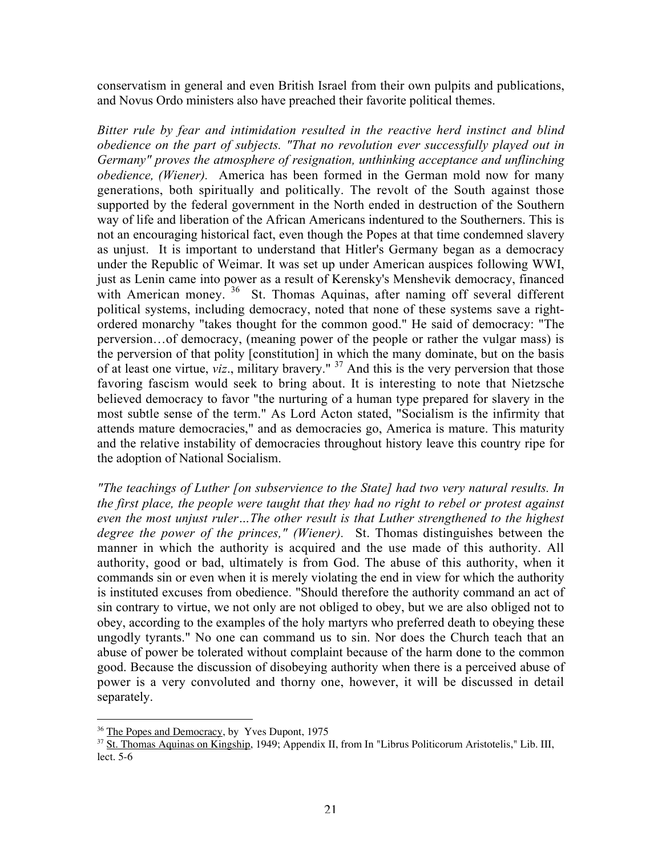conservatism in general and even British Israel from their own pulpits and publications, and Novus Ordo ministers also have preached their favorite political themes.

*Bitter rule by fear and intimidation resulted in the reactive herd instinct and blind obedience on the part of subjects. "That no revolution ever successfully played out in Germany" proves the atmosphere of resignation, unthinking acceptance and unflinching obedience, (Wiener).* America has been formed in the German mold now for many generations, both spiritually and politically. The revolt of the South against those supported by the federal government in the North ended in destruction of the Southern way of life and liberation of the African Americans indentured to the Southerners. This is not an encouraging historical fact, even though the Popes at that time condemned slavery as unjust. It is important to understand that Hitler's Germany began as a democracy under the Republic of Weimar. It was set up under American auspices following WWI, just as Lenin came into power as a result of Kerensky's Menshevik democracy, financed with American money.<sup>36</sup> St. Thomas Aquinas, after naming off several different political systems, including democracy, noted that none of these systems save a rightordered monarchy "takes thought for the common good." He said of democracy: "The perversion…of democracy, (meaning power of the people or rather the vulgar mass) is the perversion of that polity [constitution] in which the many dominate, but on the basis of at least one virtue, *viz*., military bravery." <sup>37</sup> And this is the very perversion that those favoring fascism would seek to bring about. It is interesting to note that Nietzsche believed democracy to favor "the nurturing of a human type prepared for slavery in the most subtle sense of the term." As Lord Acton stated, "Socialism is the infirmity that attends mature democracies," and as democracies go, America is mature. This maturity and the relative instability of democracies throughout history leave this country ripe for the adoption of National Socialism.

*"The teachings of Luther [on subservience to the State] had two very natural results. In the first place, the people were taught that they had no right to rebel or protest against even the most unjust ruler…The other result is that Luther strengthened to the highest degree the power of the princes," (Wiener).* St. Thomas distinguishes between the manner in which the authority is acquired and the use made of this authority. All authority, good or bad, ultimately is from God. The abuse of this authority, when it commands sin or even when it is merely violating the end in view for which the authority is instituted excuses from obedience. "Should therefore the authority command an act of sin contrary to virtue, we not only are not obliged to obey, but we are also obliged not to obey, according to the examples of the holy martyrs who preferred death to obeying these ungodly tyrants." No one can command us to sin. Nor does the Church teach that an abuse of power be tolerated without complaint because of the harm done to the common good. Because the discussion of disobeying authority when there is a perceived abuse of power is a very convoluted and thorny one, however, it will be discussed in detail separately.

<sup>&</sup>lt;sup>36</sup> The Popes and Democracy, by Yves Dupont, 1975

<sup>&</sup>lt;sup>37</sup> St. Thomas Aquinas on Kingship, 1949; Appendix II, from In "Librus Politicorum Aristotelis," Lib. III, lect. 5-6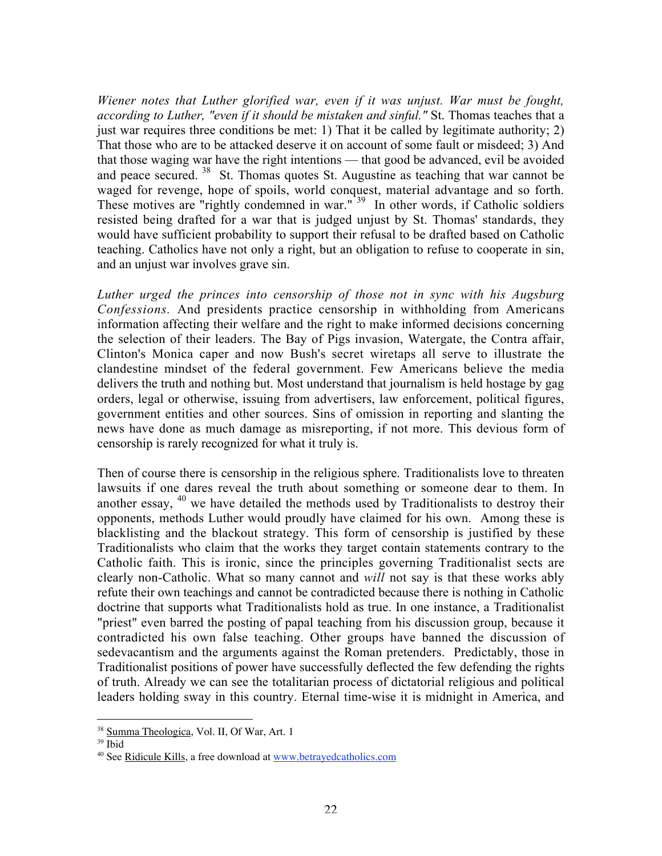*Wiener notes that Luther glorified war, even if it was unjust. War must be fought, according to Luther, "even if it should be mistaken and sinful."* St. Thomas teaches that a just war requires three conditions be met: 1) That it be called by legitimate authority; 2) That those who are to be attacked deserve it on account of some fault or misdeed; 3) And that those waging war have the right intentions — that good be advanced, evil be avoided and peace secured. <sup>38</sup> St. Thomas quotes St. Augustine as teaching that war cannot be waged for revenge, hope of spoils, world conquest, material advantage and so forth. These motives are "rightly condemned in war."<sup>39</sup> In other words, if Catholic soldiers resisted being drafted for a war that is judged unjust by St. Thomas' standards, they would have sufficient probability to support their refusal to be drafted based on Catholic teaching. Catholics have not only a right, but an obligation to refuse to cooperate in sin, and an unjust war involves grave sin.

*Luther urged the princes into censorship of those not in sync with his Augsburg Confessions.* And presidents practice censorship in withholding from Americans information affecting their welfare and the right to make informed decisions concerning the selection of their leaders. The Bay of Pigs invasion, Watergate, the Contra affair, Clinton's Monica caper and now Bush's secret wiretaps all serve to illustrate the clandestine mindset of the federal government. Few Americans believe the media delivers the truth and nothing but. Most understand that journalism is held hostage by gag orders, legal or otherwise, issuing from advertisers, law enforcement, political figures, government entities and other sources. Sins of omission in reporting and slanting the news have done as much damage as misreporting, if not more. This devious form of censorship is rarely recognized for what it truly is.

Then of course there is censorship in the religious sphere. Traditionalists love to threaten lawsuits if one dares reveal the truth about something or someone dear to them. In another essay,  $40$  we have detailed the methods used by Traditionalists to destroy their opponents, methods Luther would proudly have claimed for his own. Among these is blacklisting and the blackout strategy. This form of censorship is justified by these Traditionalists who claim that the works they target contain statements contrary to the Catholic faith. This is ironic, since the principles governing Traditionalist sects are clearly non-Catholic. What so many cannot and *will* not say is that these works ably refute their own teachings and cannot be contradicted because there is nothing in Catholic doctrine that supports what Traditionalists hold as true. In one instance, a Traditionalist "priest" even barred the posting of papal teaching from his discussion group, because it contradicted his own false teaching. Other groups have banned the discussion of sedevacantism and the arguments against the Roman pretenders. Predictably, those in Traditionalist positions of power have successfully deflected the few defending the rights of truth. Already we can see the totalitarian process of dictatorial religious and political leaders holding sway in this country. Eternal time-wise it is midnight in America, and

<sup>&</sup>lt;sup>38</sup> Summa Theologica, Vol. II, Of War, Art. 1

<sup>39</sup> Ibid

<sup>&</sup>lt;sup>40</sup> See <u>Ridicule Kills</u>, a free download at www.betrayedcatholics.com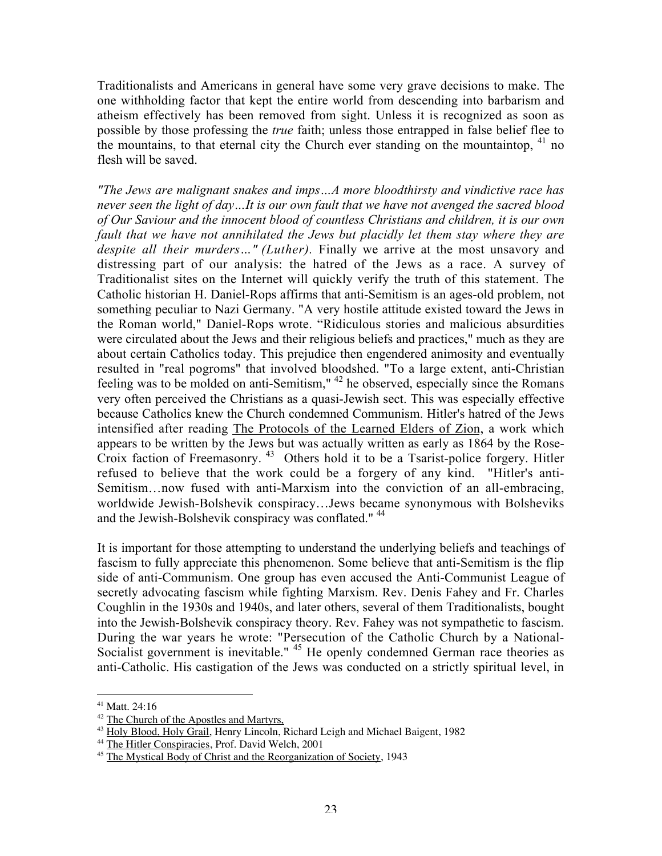Traditionalists and Americans in general have some very grave decisions to make. The one withholding factor that kept the entire world from descending into barbarism and atheism effectively has been removed from sight. Unless it is recognized as soon as possible by those professing the *true* faith; unless those entrapped in false belief flee to the mountains, to that eternal city the Church ever standing on the mountaintop,  $41$  no flesh will be saved.

*"The Jews are malignant snakes and imps…A more bloodthirsty and vindictive race has never seen the light of day…It is our own fault that we have not avenged the sacred blood of Our Saviour and the innocent blood of countless Christians and children, it is our own fault that we have not annihilated the Jews but placidly let them stay where they are despite all their murders…" (Luther).* Finally we arrive at the most unsavory and distressing part of our analysis: the hatred of the Jews as a race. A survey of Traditionalist sites on the Internet will quickly verify the truth of this statement. The Catholic historian H. Daniel-Rops affirms that anti-Semitism is an ages-old problem, not something peculiar to Nazi Germany. "A very hostile attitude existed toward the Jews in the Roman world," Daniel-Rops wrote. "Ridiculous stories and malicious absurdities were circulated about the Jews and their religious beliefs and practices," much as they are about certain Catholics today. This prejudice then engendered animosity and eventually resulted in "real pogroms" that involved bloodshed. "To a large extent, anti-Christian feeling was to be molded on anti-Semitism," <sup>42</sup> he observed, especially since the Romans very often perceived the Christians as a quasi-Jewish sect. This was especially effective because Catholics knew the Church condemned Communism. Hitler's hatred of the Jews intensified after reading The Protocols of the Learned Elders of Zion, a work which appears to be written by the Jews but was actually written as early as 1864 by the Rose-Croix faction of Freemasonry.<sup>43</sup> Others hold it to be a Tsarist-police forgery. Hitler refused to believe that the work could be a forgery of any kind. "Hitler's anti-Semitism…now fused with anti-Marxism into the conviction of an all-embracing, worldwide Jewish-Bolshevik conspiracy…Jews became synonymous with Bolsheviks and the Jewish-Bolshevik conspiracy was conflated." <sup>44</sup>

It is important for those attempting to understand the underlying beliefs and teachings of fascism to fully appreciate this phenomenon. Some believe that anti-Semitism is the flip side of anti-Communism. One group has even accused the Anti-Communist League of secretly advocating fascism while fighting Marxism. Rev. Denis Fahey and Fr. Charles Coughlin in the 1930s and 1940s, and later others, several of them Traditionalists, bought into the Jewish-Bolshevik conspiracy theory. Rev. Fahey was not sympathetic to fascism. During the war years he wrote: "Persecution of the Catholic Church by a National-Socialist government is inevitable." <sup>45</sup> He openly condemned German race theories as anti-Catholic. His castigation of the Jews was conducted on a strictly spiritual level, in

 $\overline{a}$ 

<sup>41</sup> Matt. 24:16

<sup>&</sup>lt;sup>42</sup> The Church of the Apostles and Martyrs,

<sup>&</sup>lt;sup>43</sup> Holy Blood, Holy Grail, Henry Lincoln, Richard Leigh and Michael Baigent, 1982

<sup>&</sup>lt;sup>44</sup> The Hitler Conspiracies, Prof. David Welch, 2001

<sup>&</sup>lt;sup>45</sup> The Mystical Body of Christ and the Reorganization of Society, 1943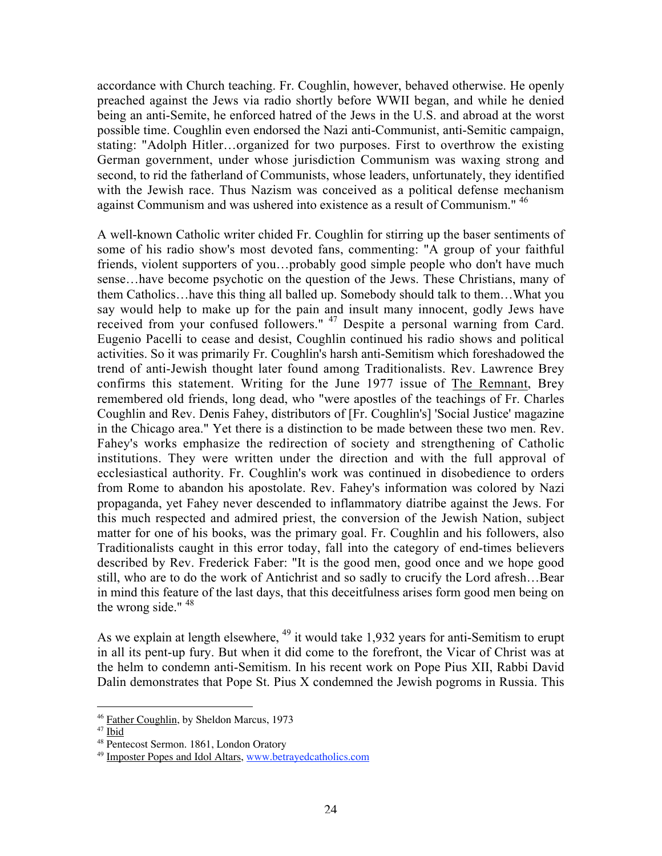accordance with Church teaching. Fr. Coughlin, however, behaved otherwise. He openly preached against the Jews via radio shortly before WWII began, and while he denied being an anti-Semite, he enforced hatred of the Jews in the U.S. and abroad at the worst possible time. Coughlin even endorsed the Nazi anti-Communist, anti-Semitic campaign, stating: "Adolph Hitler…organized for two purposes. First to overthrow the existing German government, under whose jurisdiction Communism was waxing strong and second, to rid the fatherland of Communists, whose leaders, unfortunately, they identified with the Jewish race. Thus Nazism was conceived as a political defense mechanism against Communism and was ushered into existence as a result of Communism." <sup>46</sup>

A well-known Catholic writer chided Fr. Coughlin for stirring up the baser sentiments of some of his radio show's most devoted fans, commenting: "A group of your faithful friends, violent supporters of you…probably good simple people who don't have much sense…have become psychotic on the question of the Jews. These Christians, many of them Catholics…have this thing all balled up. Somebody should talk to them…What you say would help to make up for the pain and insult many innocent, godly Jews have received from your confused followers." <sup>47</sup> Despite a personal warning from Card. Eugenio Pacelli to cease and desist, Coughlin continued his radio shows and political activities. So it was primarily Fr. Coughlin's harsh anti-Semitism which foreshadowed the trend of anti-Jewish thought later found among Traditionalists. Rev. Lawrence Brey confirms this statement. Writing for the June 1977 issue of The Remnant, Brey remembered old friends, long dead, who "were apostles of the teachings of Fr. Charles Coughlin and Rev. Denis Fahey, distributors of [Fr. Coughlin's] 'Social Justice' magazine in the Chicago area." Yet there is a distinction to be made between these two men. Rev. Fahey's works emphasize the redirection of society and strengthening of Catholic institutions. They were written under the direction and with the full approval of ecclesiastical authority. Fr. Coughlin's work was continued in disobedience to orders from Rome to abandon his apostolate. Rev. Fahey's information was colored by Nazi propaganda, yet Fahey never descended to inflammatory diatribe against the Jews. For this much respected and admired priest, the conversion of the Jewish Nation, subject matter for one of his books, was the primary goal. Fr. Coughlin and his followers, also Traditionalists caught in this error today, fall into the category of end-times believers described by Rev. Frederick Faber: "It is the good men, good once and we hope good still, who are to do the work of Antichrist and so sadly to crucify the Lord afresh…Bear in mind this feature of the last days, that this deceitfulness arises form good men being on the wrong side."  $48$ 

As we explain at length elsewhere,  $^{49}$  it would take 1,932 years for anti-Semitism to erupt in all its pent-up fury. But when it did come to the forefront, the Vicar of Christ was at the helm to condemn anti-Semitism. In his recent work on Pope Pius XII, Rabbi David Dalin demonstrates that Pope St. Pius X condemned the Jewish pogroms in Russia. This

 $\overline{a}$ <sup>46</sup> Father Coughlin, by Sheldon Marcus, 1973

<sup>&</sup>lt;sup>47</sup> Ibid

<sup>48</sup> Pentecost Sermon. 1861, London Oratory

<sup>&</sup>lt;sup>49</sup> Imposter Popes and Idol Altars, www.betrayedcatholics.com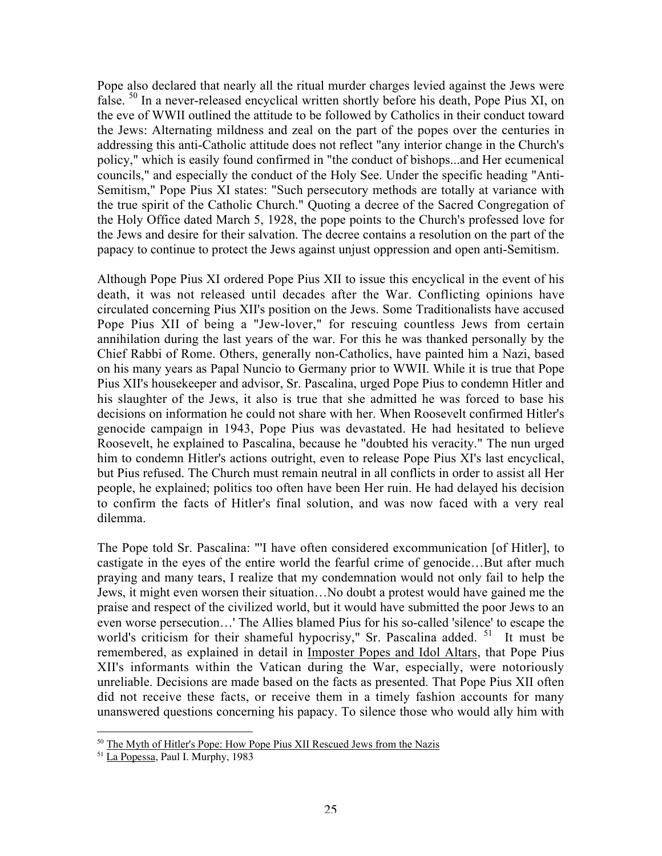Pope also declared that nearly all the ritual murder charges levied against the Jews were false. <sup>50</sup> In a never-released encyclical written shortly before his death, Pope Pius XI, on the eve of WWII outlined the attitude to be followed by Catholics in their conduct toward the Jews: Alternating mildness and zeal on the part of the popes over the centuries in addressing this anti-Catholic attitude does not reflect "any interior change in the Church's policy," which is easily found confirmed in "the conduct of bishops...and Her ecumenical councils," and especially the conduct of the Holy See. Under the specific heading "Anti-Semitism," Pope Pius XI states: "Such persecutory methods are totally at variance with the true spirit of the Catholic Church." Quoting a decree of the Sacred Congregation of the Holy Office dated March 5, 1928, the pope points to the Church's professed love for the Jews and desire for their salvation. The decree contains a resolution on the part of the papacy to continue to protect the Jews against unjust oppression and open anti-Semitism.

Although Pope Pius XI ordered Pope Pius XII to issue this encyclical in the event of his death, it was not released until decades after the War. Conflicting opinions have circulated concerning Pius XII's position on the Jews. Some Traditionalists have accused Pope Pius XII of being a "Jew-lover," for rescuing countless Jews from certain annihilation during the last years of the war. For this he was thanked personally by the Chief Rabbi of Rome. Others, generally non-Catholics, have painted him a Nazi, based on his many years as Papal Nuncio to Germany prior to WWII. While it is true that Pope Pius XII's housekeeper and advisor, Sr. Pascalina, urged Pope Pius to condemn Hitler and his slaughter of the Jews, it also is true that she admitted he was forced to base his decisions on information he could not share with her. When Roosevelt confirmed Hitler's genocide campaign in 1943, Pope Pius was devastated. He had hesitated to believe Roosevelt, he explained to Pascalina, because he "doubted his veracity." The nun urged him to condemn Hitler's actions outright, even to release Pope Pius XI's last encyclical, but Pius refused. The Church must remain neutral in all conflicts in order to assist all Her people, he explained; politics too often have been Her ruin. He had delayed his decision to confirm the facts of Hitler's final solution, and was now faced with a very real dilemma.

The Pope told Sr. Pascalina: "'I have often considered excommunication [of Hitler], to castigate in the eyes of the entire world the fearful crime of genocide…But after much praying and many tears, I realize that my condemnation would not only fail to help the Jews, it might even worsen their situation…No doubt a protest would have gained me the praise and respect of the civilized world, but it would have submitted the poor Jews to an even worse persecution…' The Allies blamed Pius for his so-called 'silence' to escape the world's criticism for their shameful hypocrisy," Sr. Pascalina added. <sup>51</sup> It must be remembered, as explained in detail in Imposter Popes and Idol Altars, that Pope Pius XII's informants within the Vatican during the War, especially, were notoriously unreliable. Decisions are made based on the facts as presented. That Pope Pius XII often did not receive these facts, or receive them in a timely fashion accounts for many unanswered questions concerning his papacy. To silence those who would ally him with

 $\overline{a}$ 

<sup>&</sup>lt;sup>50</sup> The Myth of Hitler's Pope: How Pope Pius XII Rescued Jews from the Nazis

<sup>&</sup>lt;sup>51</sup> La Popessa, Paul I. Murphy, 1983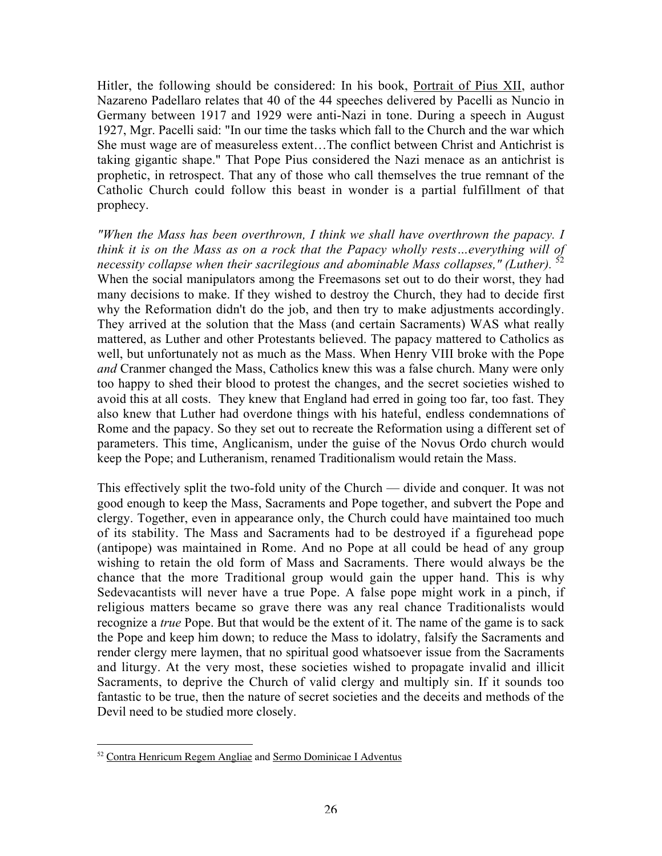Hitler, the following should be considered: In his book, Portrait of Pius XII, author Nazareno Padellaro relates that 40 of the 44 speeches delivered by Pacelli as Nuncio in Germany between 1917 and 1929 were anti-Nazi in tone. During a speech in August 1927, Mgr. Pacelli said: "In our time the tasks which fall to the Church and the war which She must wage are of measureless extent…The conflict between Christ and Antichrist is taking gigantic shape." That Pope Pius considered the Nazi menace as an antichrist is prophetic, in retrospect. That any of those who call themselves the true remnant of the Catholic Church could follow this beast in wonder is a partial fulfillment of that prophecy.

*"When the Mass has been overthrown, I think we shall have overthrown the papacy. I think it is on the Mass as on a rock that the Papacy wholly rests…everything will of necessity collapse when their sacrilegious and abominable Mass collapses," (Luther).* <sup>52</sup> When the social manipulators among the Freemasons set out to do their worst, they had many decisions to make. If they wished to destroy the Church, they had to decide first why the Reformation didn't do the job, and then try to make adjustments accordingly. They arrived at the solution that the Mass (and certain Sacraments) WAS what really mattered, as Luther and other Protestants believed. The papacy mattered to Catholics as well, but unfortunately not as much as the Mass. When Henry VIII broke with the Pope *and* Cranmer changed the Mass, Catholics knew this was a false church. Many were only too happy to shed their blood to protest the changes, and the secret societies wished to avoid this at all costs. They knew that England had erred in going too far, too fast. They also knew that Luther had overdone things with his hateful, endless condemnations of Rome and the papacy. So they set out to recreate the Reformation using a different set of parameters. This time, Anglicanism, under the guise of the Novus Ordo church would keep the Pope; and Lutheranism, renamed Traditionalism would retain the Mass.

This effectively split the two-fold unity of the Church — divide and conquer. It was not good enough to keep the Mass, Sacraments and Pope together, and subvert the Pope and clergy. Together, even in appearance only, the Church could have maintained too much of its stability. The Mass and Sacraments had to be destroyed if a figurehead pope (antipope) was maintained in Rome. And no Pope at all could be head of any group wishing to retain the old form of Mass and Sacraments. There would always be the chance that the more Traditional group would gain the upper hand. This is why Sedevacantists will never have a true Pope. A false pope might work in a pinch, if religious matters became so grave there was any real chance Traditionalists would recognize a *true* Pope. But that would be the extent of it. The name of the game is to sack the Pope and keep him down; to reduce the Mass to idolatry, falsify the Sacraments and render clergy mere laymen, that no spiritual good whatsoever issue from the Sacraments and liturgy. At the very most, these societies wished to propagate invalid and illicit Sacraments, to deprive the Church of valid clergy and multiply sin. If it sounds too fantastic to be true, then the nature of secret societies and the deceits and methods of the Devil need to be studied more closely.

 52 Contra Henricum Regem Angliae and Sermo Dominicae I Adventus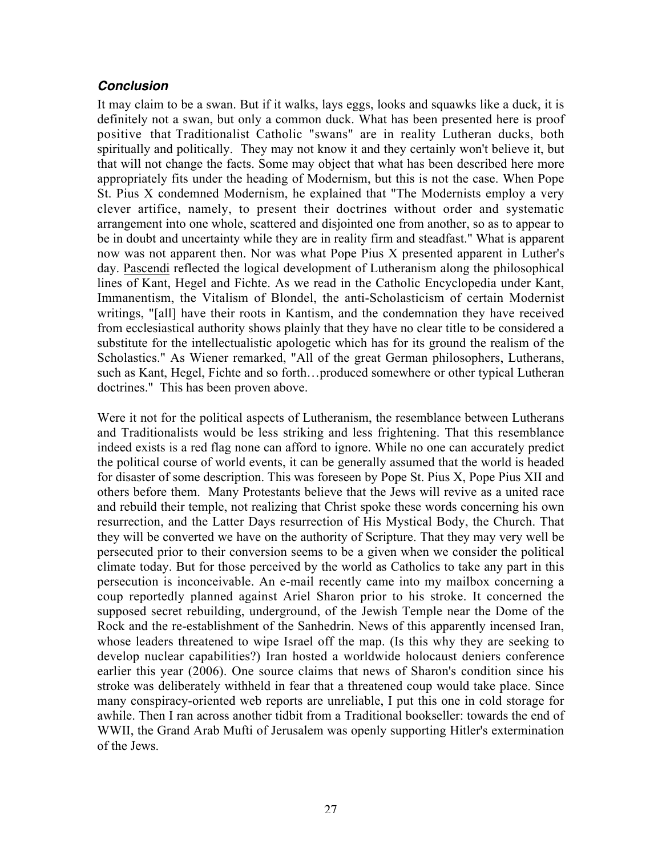### **Conclusion**

It may claim to be a swan. But if it walks, lays eggs, looks and squawks like a duck, it is definitely not a swan, but only a common duck. What has been presented here is proof positive that Traditionalist Catholic "swans" are in reality Lutheran ducks, both spiritually and politically. They may not know it and they certainly won't believe it, but that will not change the facts. Some may object that what has been described here more appropriately fits under the heading of Modernism, but this is not the case. When Pope St. Pius X condemned Modernism, he explained that "The Modernists employ a very clever artifice, namely, to present their doctrines without order and systematic arrangement into one whole, scattered and disjointed one from another, so as to appear to be in doubt and uncertainty while they are in reality firm and steadfast." What is apparent now was not apparent then. Nor was what Pope Pius X presented apparent in Luther's day. Pascendi reflected the logical development of Lutheranism along the philosophical lines of Kant, Hegel and Fichte. As we read in the Catholic Encyclopedia under Kant, Immanentism, the Vitalism of Blondel, the anti-Scholasticism of certain Modernist writings, "[all] have their roots in Kantism, and the condemnation they have received from ecclesiastical authority shows plainly that they have no clear title to be considered a substitute for the intellectualistic apologetic which has for its ground the realism of the Scholastics." As Wiener remarked, "All of the great German philosophers, Lutherans, such as Kant, Hegel, Fichte and so forth…produced somewhere or other typical Lutheran doctrines." This has been proven above.

Were it not for the political aspects of Lutheranism, the resemblance between Lutherans and Traditionalists would be less striking and less frightening. That this resemblance indeed exists is a red flag none can afford to ignore. While no one can accurately predict the political course of world events, it can be generally assumed that the world is headed for disaster of some description. This was foreseen by Pope St. Pius X, Pope Pius XII and others before them. Many Protestants believe that the Jews will revive as a united race and rebuild their temple, not realizing that Christ spoke these words concerning his own resurrection, and the Latter Days resurrection of His Mystical Body, the Church. That they will be converted we have on the authority of Scripture. That they may very well be persecuted prior to their conversion seems to be a given when we consider the political climate today. But for those perceived by the world as Catholics to take any part in this persecution is inconceivable. An e-mail recently came into my mailbox concerning a coup reportedly planned against Ariel Sharon prior to his stroke. It concerned the supposed secret rebuilding, underground, of the Jewish Temple near the Dome of the Rock and the re-establishment of the Sanhedrin. News of this apparently incensed Iran, whose leaders threatened to wipe Israel off the map. (Is this why they are seeking to develop nuclear capabilities?) Iran hosted a worldwide holocaust deniers conference earlier this year (2006). One source claims that news of Sharon's condition since his stroke was deliberately withheld in fear that a threatened coup would take place. Since many conspiracy-oriented web reports are unreliable, I put this one in cold storage for awhile. Then I ran across another tidbit from a Traditional bookseller: towards the end of WWII, the Grand Arab Mufti of Jerusalem was openly supporting Hitler's extermination of the Jews.